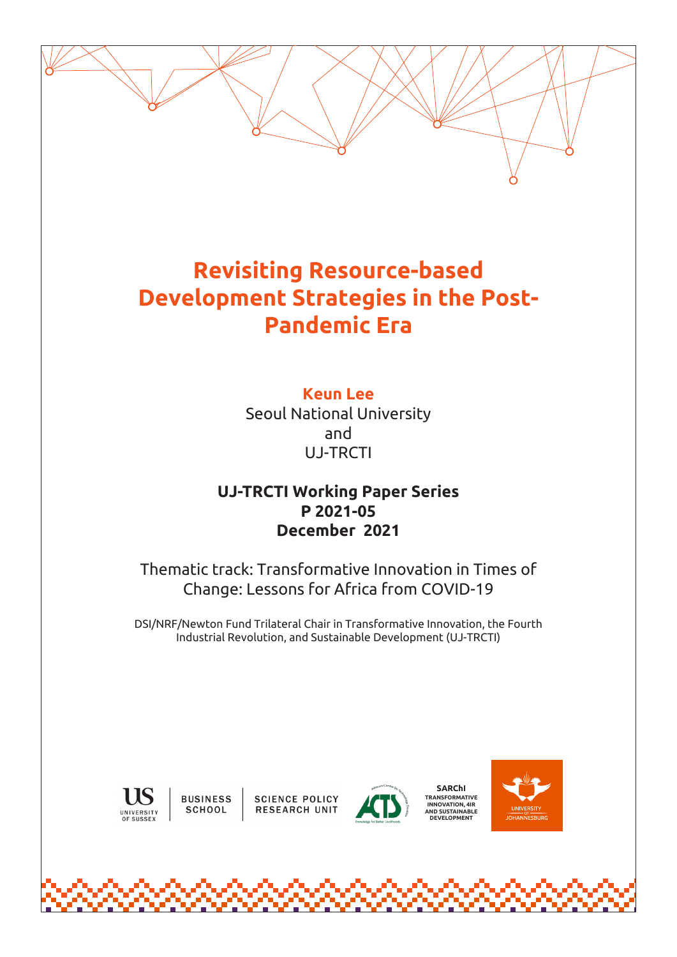# **Revisiting Resource-based Development Strategies in the Post-Pandemic Era**

**Keun Lee** Seoul National University and UJ-TRCTI

# **UJ-TRCTI Working Paper Series P 2021-05 December 2021**

Thematic track: Transformative Innovation in Times of Change: Lessons for Africa from COVID-19

DSI/NRF/Newton Fund Trilateral Chair in Transformative Innovation, the Fourth Industrial Revolution, and Sustainable Development (UJ-TRCTI)



**BUSINESS** SCHOOL

**SCIENCE POLICY RESEARCH UNIT** 



**SARChI TRANSFORMATIVE INNOVATION, 4IR AND SUSTAINABLE DEVELOPMENT**

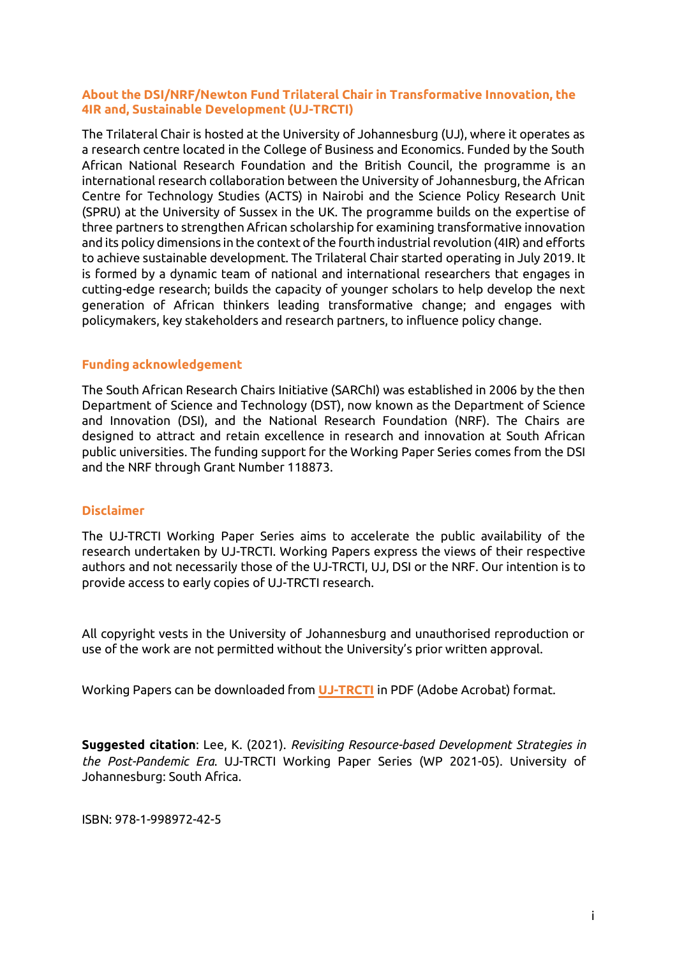#### **About the DSI/NRF/Newton Fund Trilateral Chair in Transformative Innovation, the 4IR and, Sustainable Development (UJ-TRCTI)**

The Trilateral Chair is hosted at the University of Johannesburg (UJ), where it operates as a research centre located in the College of Business and Economics. Funded by the South African National Research Foundation and the British Council, the programme is an international research collaboration between the University of Johannesburg, the African Centre for Technology Studies (ACTS) in Nairobi and the Science Policy Research Unit (SPRU) at the University of Sussex in the UK. The programme builds on the expertise of three partners to strengthen African scholarship for examining transformative innovation and its policy dimensions in the context of the fourth industrial revolution (4IR) and efforts to achieve sustainable development. The Trilateral Chair started operating in July 2019. It is formed by a dynamic team of national and international researchers that engages in cutting-edge research; builds the capacity of younger scholars to help develop the next generation of African thinkers leading transformative change; and engages with policymakers, key stakeholders and research partners, to influence policy change.

#### **Funding acknowledgement**

The South African Research Chairs Initiative (SARChI) was established in 2006 by the then Department of Science and Technology (DST), now known as the Department of Science and Innovation (DSI), and the National Research Foundation (NRF). The Chairs are designed to attract and retain excellence in research and innovation at South African public universities. The funding support for the Working Paper Series comes from the DSI and the NRF through Grant Number 118873.

#### **Disclaimer**

The UJ-TRCTI Working Paper Series aims to accelerate the public availability of the research undertaken by UJ-TRCTI. Working Papers express the views of their respective authors and not necessarily those of the UJ-TRCTI, UJ, DSI or the NRF. Our intention is to provide access to early copies of UJ-TRCTI research.

All copyright vests in the University of Johannesburg and unauthorised reproduction or use of the work are not permitted without the University's prior written approval.

Working Papers can be downloaded from **[UJ-TRCTI](mailto:https://www.uj.ac.za/faculties/college-of-business-and-economics/trilateral-research-chair-in-transformative-innovation/trcti-publications/working-paper-series/)** in PDF (Adobe Acrobat) format.

**Suggested citation**: Lee, K. (2021). *Revisiting Resource-based Development Strategies in the Post-Pandemic Era*. UJ-TRCTI Working Paper Series (WP 2021-05). University of Johannesburg: South Africa.

ISBN: 978-1-998972-42-5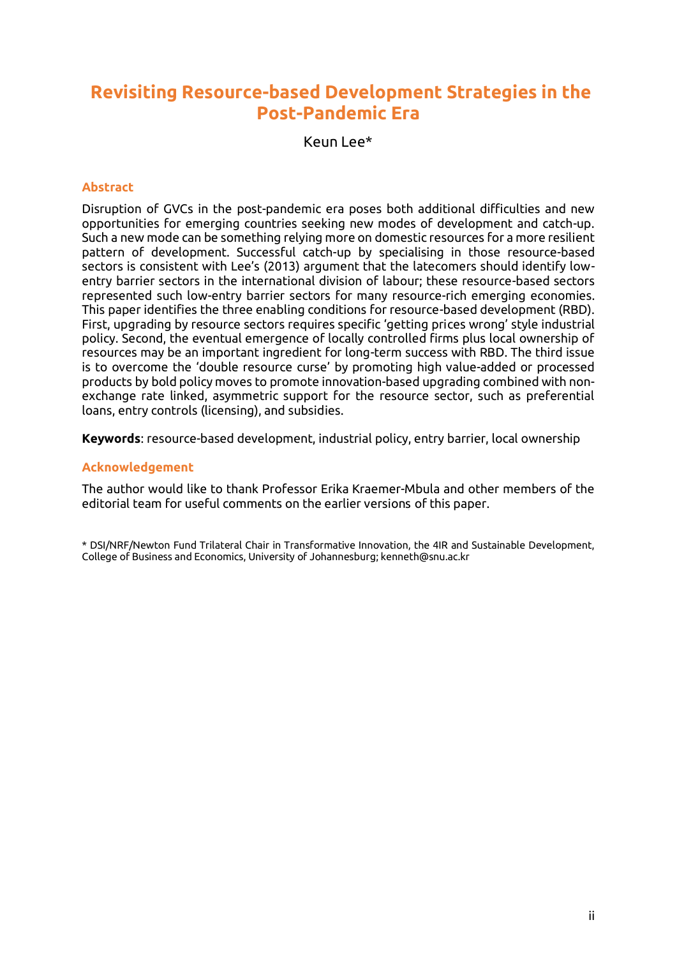# **Revisiting Resource-based Development Strategies in the Post-Pandemic Era**

Keun Lee\*

#### **Abstract**

Disruption of GVCs in the post-pandemic era poses both additional difficulties and new opportunities for emerging countries seeking new modes of development and catch-up. Such a new mode can be something relying more on domestic resources for a more resilient pattern of development. Successful catch-up by specialising in those resource-based sectors is consistent with Lee's (2013) argument that the latecomers should identify lowentry barrier sectors in the international division of labour; these resource-based sectors represented such low-entry barrier sectors for many resource-rich emerging economies. This paper identifies the three enabling conditions for resource-based development (RBD). First, upgrading by resource sectors requires specific 'getting prices wrong' style industrial policy. Second, the eventual emergence of locally controlled firms plus local ownership of resources may be an important ingredient for long-term success with RBD. The third issue is to overcome the 'double resource curse' by promoting high value-added or processed products by bold policy moves to promote innovation-based upgrading combined with nonexchange rate linked, asymmetric support for the resource sector, such as preferential loans, entry controls (licensing), and subsidies.

**Keywords**: resource-based development, industrial policy, entry barrier, local ownership

#### **Acknowledgement**

The author would like to thank Professor Erika Kraemer-Mbula and other members of the editorial team for useful comments on the earlier versions of this paper.

\* DSI/NRF/Newton Fund Trilateral Chair in Transformative Innovation, the 4IR and Sustainable Development, College of Business and Economics, University of Johannesburg; kenneth@snu.ac.kr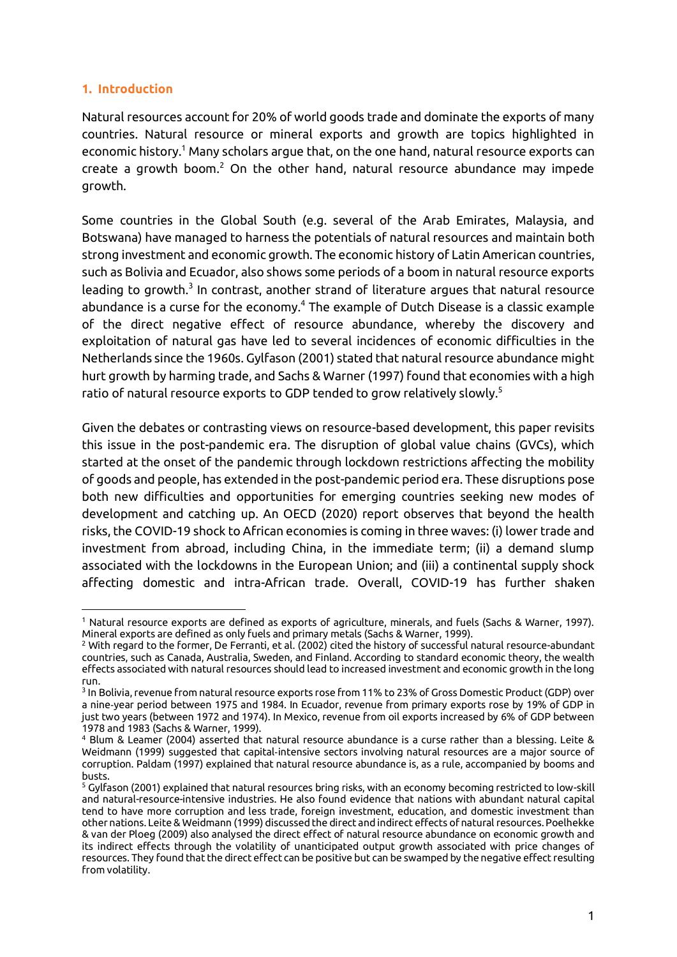#### **1. Introduction**

 $\overline{a}$ 

Natural resources account for 20% of world goods trade and dominate the exports of many countries. Natural resource or mineral exports and growth are topics highlighted in economic history.<sup>1</sup> Many scholars argue that, on the one hand, natural resource exports can create a growth boom.<sup>2</sup> On the other hand, natural resource abundance may impede growth.

Some countries in the Global South (e.g. several of the Arab Emirates, Malaysia, and Botswana) have managed to harness the potentials of natural resources and maintain both strong investment and economic growth. The economic history of Latin American countries, such as Bolivia and Ecuador, also shows some periods of a boom in natural resource exports leading to growth. $^3$  In contrast, another strand of literature argues that natural resource abundance is a curse for the economy.<sup>4</sup> The example of Dutch Disease is a classic example of the direct negative effect of resource abundance, whereby the discovery and exploitation of natural gas have led to several incidences of economic difficulties in the Netherlands since the 1960s. Gylfason (2001) stated that natural resource abundance might hurt growth by harming trade, and Sachs & Warner (1997) found that economies with a high ratio of natural resource exports to GDP tended to grow relatively slowly.<sup>5</sup>

Given the debates or contrasting views on resource-based development, this paper revisits this issue in the post-pandemic era. The disruption of global value chains (GVCs), which started at the onset of the pandemic through lockdown restrictions affecting the mobility of goods and people, has extended in the post-pandemic period era. These disruptions pose both new difficulties and opportunities for emerging countries seeking new modes of development and catching up. An OECD (2020) report observes that beyond the health risks, the COVID-19 shock to African economies is coming in three waves: (i) lower trade and investment from abroad, including China, in the immediate term; (ii) a demand slump associated with the lockdowns in the European Union; and (iii) a continental supply shock affecting domestic and intra-African trade. Overall, COVID-19 has further shaken

<sup>1</sup> Natural resource exports are defined as exports of agriculture, minerals, and fuels (Sachs & Warner, 1997). Mineral exports are defined as only fuels and primary metals (Sachs & Warner, 1999).

 $2$  With regard to the former, De Ferranti, et al. (2002) cited the history of successful natural resource-abundant countries, such as Canada, Australia, Sweden, and Finland. According to standard economic theory, the wealth effects associated with natural resources should lead to increased investment and economic growth in the long run.

<sup>3</sup> In Bolivia, revenue from natural resource exports rose from 11% to 23% of Gross Domestic Product (GDP) over a nine‑year period between 1975 and 1984. In Ecuador, revenue from primary exports rose by 19% of GDP in just two years (between 1972 and 1974). In Mexico, revenue from oil exports increased by 6% of GDP between 1978 and 1983 (Sachs & Warner, 1999).

<sup>4</sup> Blum & Leamer (2004) asserted that natural resource abundance is a curse rather than a blessing. Leite & Weidmann (1999) suggested that capital‑intensive sectors involving natural resources are a major source of corruption. Paldam (1997) explained that natural resource abundance is, as a rule, accompanied by booms and busts.

<sup>5</sup> Gylfason (2001) explained that natural resources bring risks, with an economy becoming restricted to low-skill and natural-resource-intensive industries. He also found evidence that nations with abundant natural capital tend to have more corruption and less trade, foreign investment, education, and domestic investment than other nations. Leite & Weidmann (1999) discussed the direct and indirect effects of natural resources. Poelhekke & van der Ploeg (2009) also analysed the direct effect of natural resource abundance on economic growth and its indirect effects through the volatility of unanticipated output growth associated with price changes of resources. They found that the direct effect can be positive but can be swamped by the negative effect resulting from volatility.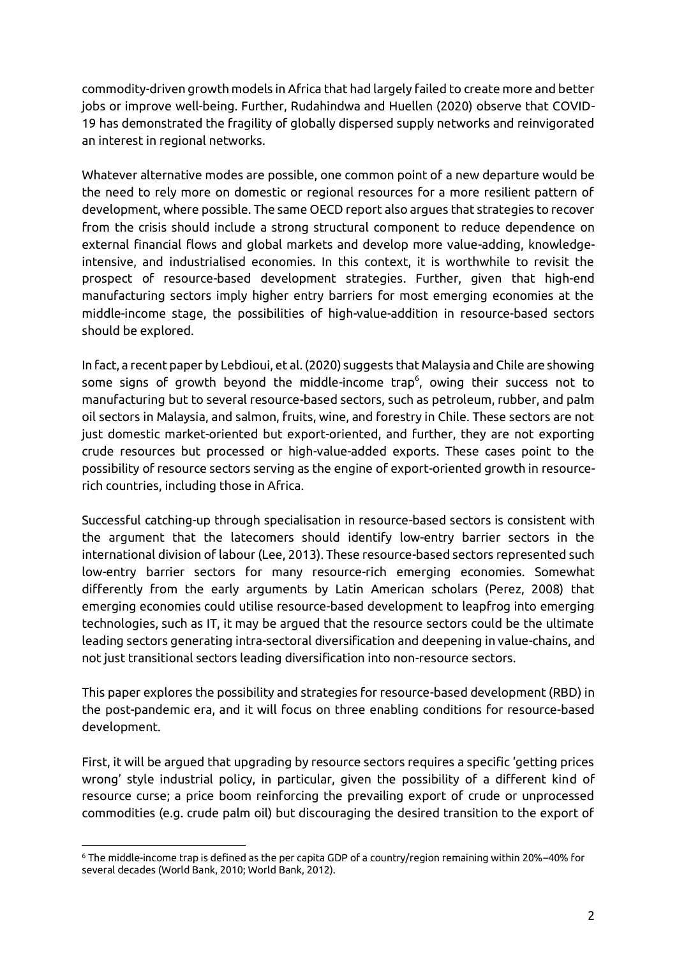commodity-driven growth models in Africa that had largely failed to create more and better jobs or improve well-being. Further, Rudahindwa and Huellen (2020) observe that COVID-19 has demonstrated the fragility of globally dispersed supply networks and reinvigorated an interest in regional networks.

Whatever alternative modes are possible, one common point of a new departure would be the need to rely more on domestic or regional resources for a more resilient pattern of development, where possible. The same OECD report also argues that strategies to recover from the crisis should include a strong structural component to reduce dependence on external financial flows and global markets and develop more value-adding, knowledgeintensive, and industrialised economies. In this context, it is worthwhile to revisit the prospect of resource-based development strategies. Further, given that high-end manufacturing sectors imply higher entry barriers for most emerging economies at the middle-income stage, the possibilities of high-value-addition in resource-based sectors should be explored.

In fact, a recent paper by Lebdioui, et al. (2020) suggests that Malaysia and Chile are showing some signs of growth beyond the middle-income trap $^6$ , owing their success not to manufacturing but to several resource-based sectors, such as petroleum, rubber, and palm oil sectors in Malaysia, and salmon, fruits, wine, and forestry in Chile. These sectors are not just domestic market-oriented but export-oriented, and further, they are not exporting crude resources but processed or high-value-added exports. These cases point to the possibility of resource sectors serving as the engine of export-oriented growth in resourcerich countries, including those in Africa.

Successful catching-up through specialisation in resource-based sectors is consistent with the argument that the latecomers should identify low-entry barrier sectors in the international division of labour (Lee, 2013). These resource-based sectors represented such low-entry barrier sectors for many resource-rich emerging economies. Somewhat differently from the early arguments by Latin American scholars (Perez, 2008) that emerging economies could utilise resource-based development to leapfrog into emerging technologies, such as IT, it may be argued that the resource sectors could be the ultimate leading sectors generating intra-sectoral diversification and deepening in value-chains, and not just transitional sectors leading diversification into non-resource sectors.

This paper explores the possibility and strategies for resource-based development (RBD) in the post-pandemic era, and it will focus on three enabling conditions for resource-based development.

First, it will be argued that upgrading by resource sectors requires a specific 'getting prices wrong' style industrial policy, in particular, given the possibility of a different kind of resource curse; a price boom reinforcing the prevailing export of crude or unprocessed commodities (e.g. crude palm oil) but discouraging the desired transition to the export of

 $\overline{a}$ <sup>6</sup> The middle-income trap is defined as the per capita GDP of a country/region remaining within 20%–40% for several decades (World Bank, 2010; World Bank, 2012).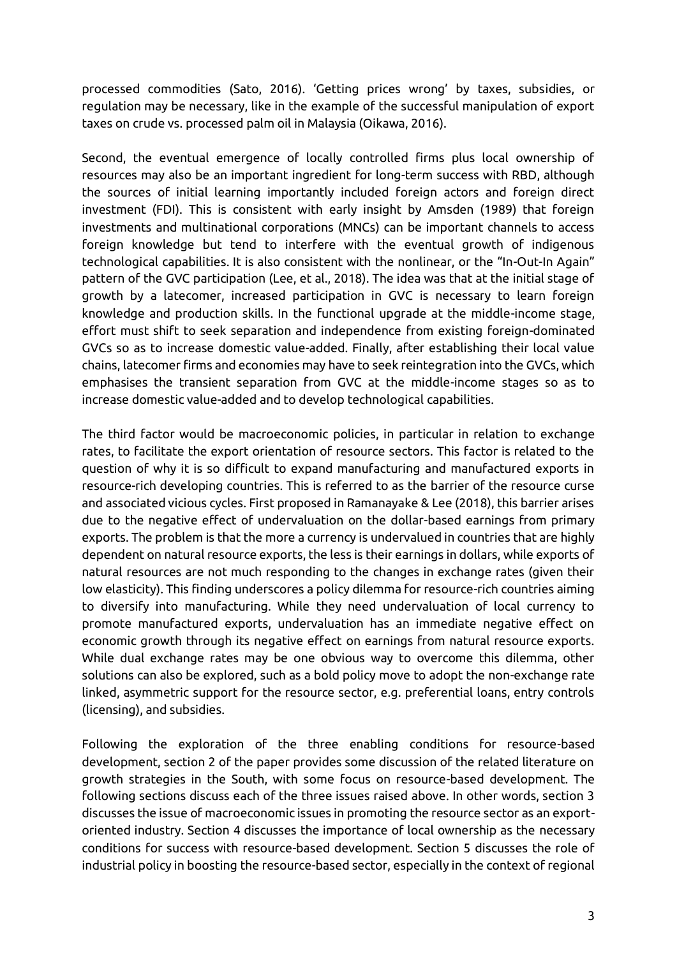processed commodities (Sato, 2016). 'Getting prices wrong' by taxes, subsidies, or regulation may be necessary, like in the example of the successful manipulation of export taxes on crude vs. processed palm oil in Malaysia (Oikawa, 2016).

Second, the eventual emergence of locally controlled firms plus local ownership of resources may also be an important ingredient for long-term success with RBD, although the sources of initial learning importantly included foreign actors and foreign direct investment (FDI). This is consistent with early insight by Amsden (1989) that foreign investments and multinational corporations (MNCs) can be important channels to access foreign knowledge but tend to interfere with the eventual growth of indigenous technological capabilities. It is also consistent with the nonlinear, or the "In-Out-In Again" pattern of the GVC participation (Lee, et al., 2018). The idea was that at the initial stage of growth by a latecomer, increased participation in GVC is necessary to learn foreign knowledge and production skills. In the functional upgrade at the middle-income stage, effort must shift to seek separation and independence from existing foreign-dominated GVCs so as to increase domestic value-added. Finally, after establishing their local value chains, latecomer firms and economies may have to seek reintegration into the GVCs, which emphasises the transient separation from GVC at the middle-income stages so as to increase domestic value-added and to develop technological capabilities.

The third factor would be macroeconomic policies, in particular in relation to exchange rates, to facilitate the export orientation of resource sectors. This factor is related to the question of why it is so difficult to expand manufacturing and manufactured exports in resource-rich developing countries. This is referred to as the barrier of the resource curse and associated vicious cycles. First proposed in Ramanayake & Lee (2018), this barrier arises due to the negative effect of undervaluation on the dollar-based earnings from primary exports. The problem is that the more a currency is undervalued in countries that are highly dependent on natural resource exports, the less is their earnings in dollars, while exports of natural resources are not much responding to the changes in exchange rates (given their low elasticity). This finding underscores a policy dilemma for resource-rich countries aiming to diversify into manufacturing. While they need undervaluation of local currency to promote manufactured exports, undervaluation has an immediate negative effect on economic growth through its negative effect on earnings from natural resource exports. While dual exchange rates may be one obvious way to overcome this dilemma, other solutions can also be explored, such as a bold policy move to adopt the non-exchange rate linked, asymmetric support for the resource sector, e.g. preferential loans, entry controls (licensing), and subsidies.

Following the exploration of the three enabling conditions for resource-based development, section 2 of the paper provides some discussion of the related literature on growth strategies in the South, with some focus on resource-based development. The following sections discuss each of the three issues raised above. In other words, section 3 discusses the issue of macroeconomic issues in promoting the resource sector as an exportoriented industry. Section 4 discusses the importance of local ownership as the necessary conditions for success with resource-based development. Section 5 discusses the role of industrial policy in boosting the resource-based sector, especially in the context of regional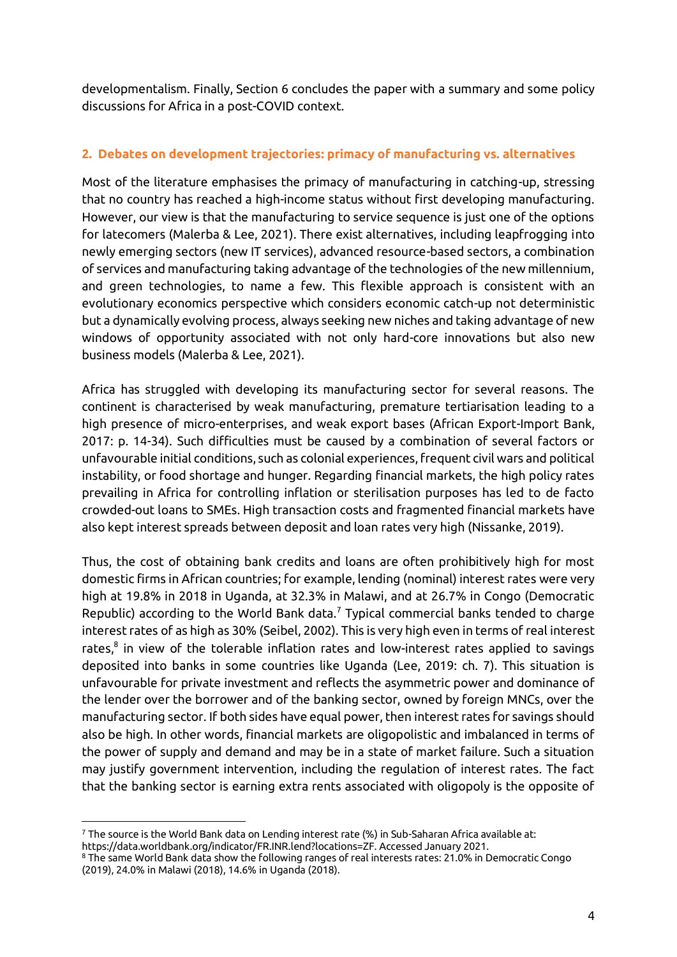developmentalism. Finally, Section 6 concludes the paper with a summary and some policy discussions for Africa in a post-COVID context.

# **2. Debates on development trajectories: primacy of manufacturing vs. alternatives**

Most of the literature emphasises the primacy of manufacturing in catching-up, stressing that no country has reached a high-income status without first developing manufacturing. However, our view is that the manufacturing to service sequence is just one of the options for latecomers (Malerba & Lee, 2021). There exist alternatives, including leapfrogging into newly emerging sectors (new IT services), advanced resource-based sectors, a combination of services and manufacturing taking advantage of the technologies of the new millennium, and green technologies, to name a few. This flexible approach is consistent with an evolutionary economics perspective which considers economic catch-up not deterministic but a dynamically evolving process, always seeking new niches and taking advantage of new windows of opportunity associated with not only hard-core innovations but also new business models (Malerba & Lee, 2021).

Africa has struggled with developing its manufacturing sector for several reasons. The continent is characterised by weak manufacturing, premature tertiarisation leading to a high presence of micro-enterprises, and weak export bases (African Export-Import Bank, 2017: p. 14-34). Such difficulties must be caused by a combination of several factors or unfavourable initial conditions, such as colonial experiences, frequent civil wars and political instability, or food shortage and hunger. Regarding financial markets, the high policy rates prevailing in Africa for controlling inflation or sterilisation purposes has led to de facto crowded-out loans to SMEs. High transaction costs and fragmented financial markets have also kept interest spreads between deposit and loan rates very high (Nissanke, 2019).

Thus, the cost of obtaining bank credits and loans are often prohibitively high for most domestic firms in African countries; for example, lending (nominal) interest rates were very high at 19.8% in 2018 in Uganda, at 32.3% in Malawi, and at 26.7% in Congo (Democratic Republic) according to the World Bank data.<sup>7</sup> Typical commercial banks tended to charge interest rates of as high as 30% (Seibel, 2002). This is very high even in terms of real interest rates, $^8$  in view of the tolerable inflation rates and low-interest rates applied to savings deposited into banks in some countries like Uganda (Lee, 2019: ch. 7). This situation is unfavourable for private investment and reflects the asymmetric power and dominance of the lender over the borrower and of the banking sector, owned by foreign MNCs, over the manufacturing sector. If both sides have equal power, then interest rates for savings should also be high. In other words, financial markets are oligopolistic and imbalanced in terms of the power of supply and demand and may be in a state of market failure. Such a situation may justify government intervention, including the regulation of interest rates. The fact that the banking sector is earning extra rents associated with oligopoly is the opposite of

 $\overline{a}$ <sup>7</sup> The source is the World Bank data on Lending interest rate (%) in Sub-Saharan Africa available at: https://data.worldbank.org/indicator/FR.INR.lend?locations=ZF. Accessed January 2021.

<sup>8</sup> The same World Bank data show the following ranges of real interests rates: 21.0% in Democratic Congo (2019), 24.0% in Malawi (2018), 14.6% in Uganda (2018).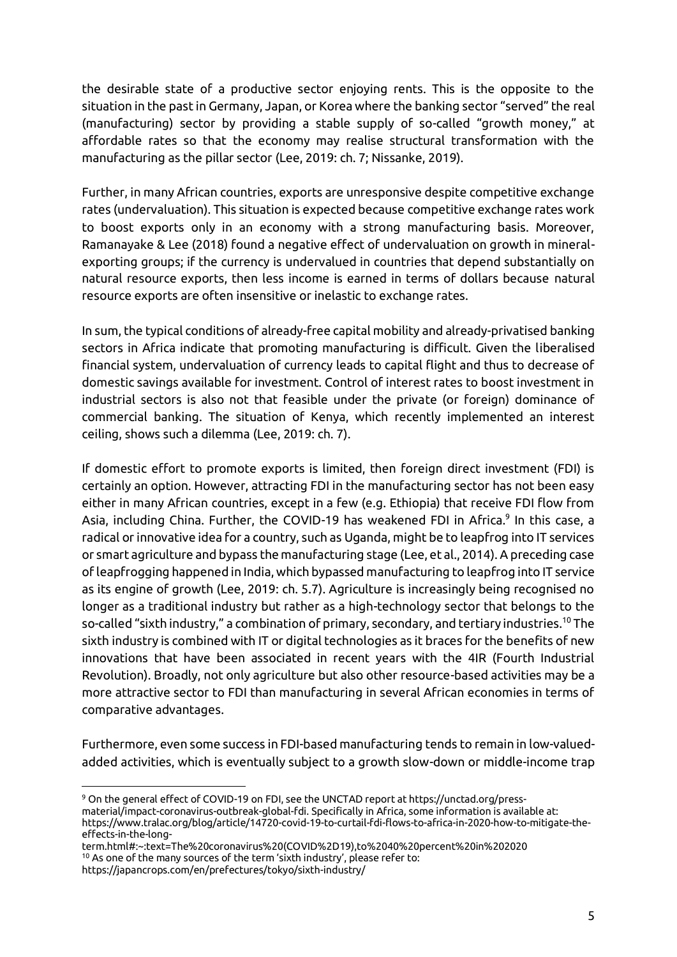the desirable state of a productive sector enjoying rents. This is the opposite to the situation in the past in Germany, Japan, or Korea where the banking sector "served" the real (manufacturing) sector by providing a stable supply of so-called "growth money," at affordable rates so that the economy may realise structural transformation with the manufacturing as the pillar sector (Lee, 2019: ch. 7; Nissanke, 2019).

Further, in many African countries, exports are unresponsive despite competitive exchange rates (undervaluation). This situation is expected because competitive exchange rates work to boost exports only in an economy with a strong manufacturing basis. Moreover, Ramanayake & Lee (2018) found a negative effect of undervaluation on growth in mineralexporting groups; if the currency is undervalued in countries that depend substantially on natural resource exports, then less income is earned in terms of dollars because natural resource exports are often insensitive or inelastic to exchange rates.

In sum, the typical conditions of already-free capital mobility and already-privatised banking sectors in Africa indicate that promoting manufacturing is difficult. Given the liberalised financial system, undervaluation of currency leads to capital flight and thus to decrease of domestic savings available for investment. Control of interest rates to boost investment in industrial sectors is also not that feasible under the private (or foreign) dominance of commercial banking. The situation of Kenya, which recently implemented an interest ceiling, shows such a dilemma (Lee, 2019: ch. 7).

If domestic effort to promote exports is limited, then foreign direct investment (FDI) is certainly an option. However, attracting FDI in the manufacturing sector has not been easy either in many African countries, except in a few (e.g. Ethiopia) that receive FDI flow from Asia, including China. Further, the COVID-19 has weakened FDI in Africa.<sup>9</sup> In this case, a radical or innovative idea for a country, such as Uganda, might be to leapfrog into IT services or smart agriculture and bypass the manufacturing stage (Lee, et al., 2014). A preceding case of leapfrogging happened in India, which bypassed manufacturing to leapfrog into IT service as its engine of growth (Lee, 2019: ch. 5.7). Agriculture is increasingly being recognised no longer as a traditional industry but rather as a high-technology sector that belongs to the so-called "sixth industry," a combination of primary, secondary, and tertiary industries.<sup>10</sup> The sixth industry is combined with IT or digital technologies as it braces for the benefits of new innovations that have been associated in recent years with the 4IR (Fourth Industrial Revolution). Broadly, not only agriculture but also other resource-based activities may be a more attractive sector to FDI than manufacturing in several African economies in terms of comparative advantages.

Furthermore, even some success in FDI-based manufacturing tends to remain in low-valuedadded activities, which is eventually subject to a growth slow-down or middle-income trap

<sup>9</sup> On the general effect of COVID-19 on FDI, see the UNCTAD report at https://unctad.org/pressmaterial/impact-coronavirus-outbreak-global-fdi. Specifically in Africa, some information is available at: https://www.tralac.org/blog/article/14720-covid-19-to-curtail-fdi-flows-to-africa-in-2020-how-to-mitigate-theeffects-in-the-long-

term.html#:~:text=The%20coronavirus%20(COVID%2D19),to%2040%20percent%20in%202020

<sup>10</sup> As one of the many sources of the term 'sixth industry', please refer to:

https://japancrops.com/en/prefectures/tokyo/sixth-industry/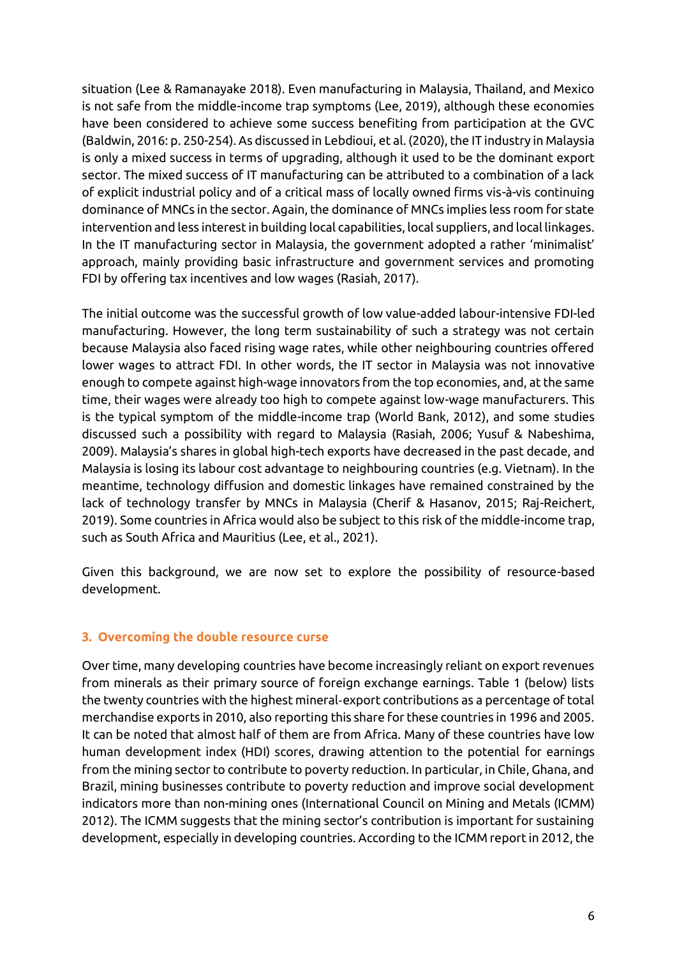situation (Lee & Ramanayake 2018). Even manufacturing in Malaysia, Thailand, and Mexico is not safe from the middle-income trap symptoms (Lee, 2019), although these economies have been considered to achieve some success benefiting from participation at the GVC (Baldwin, 2016: p. 250-254). As discussed in Lebdioui, et al. (2020), the IT industry in Malaysia is only a mixed success in terms of upgrading, although it used to be the dominant export sector. The mixed success of IT manufacturing can be attributed to a combination of a lack of explicit industrial policy and of a critical mass of locally owned firms vis-à-vis continuing dominance of MNCs in the sector. Again, the dominance of MNCs implies less room for state intervention and less interest in building local capabilities, local suppliers, and local linkages. In the IT manufacturing sector in Malaysia, the government adopted a rather 'minimalist' approach, mainly providing basic infrastructure and government services and promoting FDI by offering tax incentives and low wages (Rasiah, 2017).

The initial outcome was the successful growth of low value-added labour-intensive FDI-led manufacturing. However, the long term sustainability of such a strategy was not certain because Malaysia also faced rising wage rates, while other neighbouring countries offered lower wages to attract FDI. In other words, the IT sector in Malaysia was not innovative enough to compete against high-wage innovators from the top economies, and, at the same time, their wages were already too high to compete against low-wage manufacturers. This is the typical symptom of the middle-income trap (World Bank, 2012), and some studies discussed such a possibility with regard to Malaysia (Rasiah, 2006; Yusuf & Nabeshima, 2009). Malaysia's shares in global high-tech exports have decreased in the past decade, and Malaysia is losing its labour cost advantage to neighbouring countries (e.g. Vietnam). In the meantime, technology diffusion and domestic linkages have remained constrained by the lack of technology transfer by MNCs in Malaysia (Cherif & Hasanov, 2015; Raj-Reichert, 2019). Some countries in Africa would also be subject to this risk of the middle-income trap, such as South Africa and Mauritius (Lee, et al., 2021).

Given this background, we are now set to explore the possibility of resource-based development.

#### **3. Overcoming the double resource curse**

Over time, many developing countries have become increasingly reliant on export revenues from minerals as their primary source of foreign exchange earnings. Table 1 (below) lists the twenty countries with the highest mineral‑export contributions as a percentage of total merchandise exports in 2010, also reporting this share for these countries in 1996 and 2005. It can be noted that almost half of them are from Africa. Many of these countries have low human development index (HDI) scores, drawing attention to the potential for earnings from the mining sector to contribute to poverty reduction. In particular, in Chile, Ghana, and Brazil, mining businesses contribute to poverty reduction and improve social development indicators more than non-mining ones (International Council on Mining and Metals (ICMM) 2012). The ICMM suggests that the mining sector's contribution is important for sustaining development, especially in developing countries. According to the ICMM report in 2012, the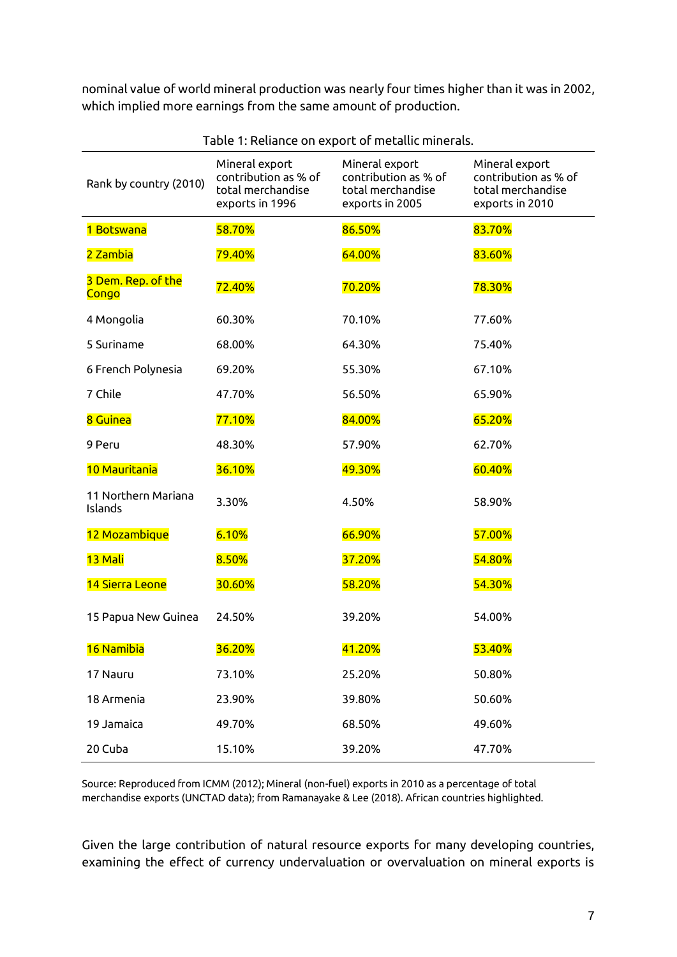nominal value of world mineral production was nearly four times higher than it was in 2002, which implied more earnings from the same amount of production.

| Rank by country (2010)         | Mineral export<br>contribution as % of<br>total merchandise<br>exports in 1996 | Mineral export<br>contribution as % of<br>total merchandise<br>exports in 2005 | Mineral export<br>contribution as % of<br>total merchandise<br>exports in 2010 |
|--------------------------------|--------------------------------------------------------------------------------|--------------------------------------------------------------------------------|--------------------------------------------------------------------------------|
| 1 Botswana                     | 58.70%                                                                         | 86.50%                                                                         | 83.70%                                                                         |
| 2 Zambia                       | 79.40%                                                                         | 64.00%                                                                         | 83.60%                                                                         |
| 3 Dem. Rep. of the<br>Congo    | 72.40%                                                                         | 70.20%                                                                         | 78.30%                                                                         |
| 4 Mongolia                     | 60.30%                                                                         | 70.10%                                                                         | 77.60%                                                                         |
| 5 Suriname                     | 68.00%                                                                         | 64.30%                                                                         | 75.40%                                                                         |
| 6 French Polynesia             | 69.20%                                                                         | 55.30%                                                                         | 67.10%                                                                         |
| 7 Chile                        | 47.70%                                                                         | 56.50%                                                                         | 65.90%                                                                         |
| 8 Guinea                       | 77.10%                                                                         | 84.00%                                                                         | 65.20%                                                                         |
| 9 Peru                         | 48.30%                                                                         | 57.90%                                                                         | 62.70%                                                                         |
| 10 Mauritania                  | 36.10%                                                                         | 49.30%                                                                         | 60.40%                                                                         |
| 11 Northern Mariana<br>Islands | 3.30%                                                                          | 4.50%                                                                          | 58.90%                                                                         |
| 12 Mozambique                  | 6.10%                                                                          | 66.90%                                                                         | 57.00%                                                                         |
| 13 Mali                        | 8.50%                                                                          | 37.20%                                                                         | 54.80%                                                                         |
| 14 Sierra Leone                | 30.60%                                                                         | 58.20%                                                                         | 54.30%                                                                         |
| 15 Papua New Guinea            | 24.50%                                                                         | 39.20%                                                                         | 54.00%                                                                         |
| 16 Namibia                     | 36.20%                                                                         | 41.20%                                                                         | 53.40%                                                                         |
| 17 Nauru                       | 73.10%                                                                         | 25.20%                                                                         | 50.80%                                                                         |
| 18 Armenia                     | 23.90%                                                                         | 39.80%                                                                         | 50.60%                                                                         |
| 19 Jamaica                     | 49.70%                                                                         | 68.50%                                                                         | 49.60%                                                                         |
| 20 Cuba                        | 15.10%                                                                         | 39.20%                                                                         | 47.70%                                                                         |

Table 1: Reliance on export of metallic minerals.

Source: Reproduced from ICMM (2012); Mineral (non-fuel) exports in 2010 as a percentage of total merchandise exports (UNCTAD data); from Ramanayake & Lee (2018). African countries highlighted.

Given the large contribution of natural resource exports for many developing countries, examining the effect of currency undervaluation or overvaluation on mineral exports is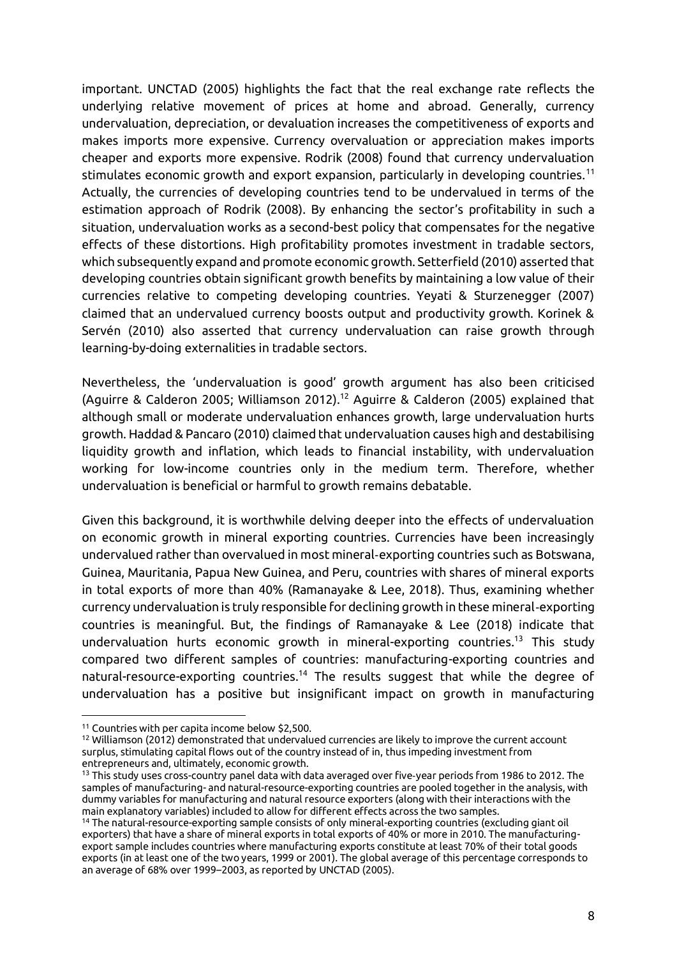important. UNCTAD (2005) highlights the fact that the real exchange rate reflects the underlying relative movement of prices at home and abroad. Generally, currency undervaluation, depreciation, or devaluation increases the competitiveness of exports and makes imports more expensive. Currency overvaluation or appreciation makes imports cheaper and exports more expensive. Rodrik (2008) found that currency undervaluation stimulates economic growth and export expansion, particularly in developing countries.<sup>11</sup> Actually, the currencies of developing countries tend to be undervalued in terms of the estimation approach of Rodrik (2008). By enhancing the sector's profitability in such a situation, undervaluation works as a second-best policy that compensates for the negative effects of these distortions. High profitability promotes investment in tradable sectors, which subsequently expand and promote economic growth. Setterfield (2010) asserted that developing countries obtain significant growth benefits by maintaining a low value of their currencies relative to competing developing countries. Yeyati & Sturzenegger (2007) claimed that an undervalued currency boosts output and productivity growth. Korinek & Servén (2010) also asserted that currency undervaluation can raise growth through learning-by-doing externalities in tradable sectors.

Nevertheless, the 'undervaluation is good' growth argument has also been criticised (Aguirre & Calderon 2005; Williamson 2012).<sup>12</sup> Aguirre & Calderon (2005) explained that although small or moderate undervaluation enhances growth, large undervaluation hurts growth. Haddad & Pancaro (2010) claimed that undervaluation causes high and destabilising liquidity growth and inflation, which leads to financial instability, with undervaluation working for low-income countries only in the medium term. Therefore, whether undervaluation is beneficial or harmful to growth remains debatable.

Given this background, it is worthwhile delving deeper into the effects of undervaluation on economic growth in mineral exporting countries. Currencies have been increasingly undervalued rather than overvalued in most mineral‑exporting countries such as Botswana, Guinea, Mauritania, Papua New Guinea, and Peru, countries with shares of mineral exports in total exports of more than 40% (Ramanayake & Lee, 2018). Thus, examining whether currency undervaluation is truly responsible for declining growth in these mineral‑exporting countries is meaningful. But, the findings of Ramanayake & Lee (2018) indicate that undervaluation hurts economic growth in mineral-exporting countries.<sup>13</sup> This study compared two different samples of countries: manufacturing-exporting countries and natural-resource-exporting countries.<sup>14</sup> The results suggest that while the degree of undervaluation has a positive but insignificant impact on growth in manufacturing

<sup>11</sup> Countries with per capita income below \$2,500.

<sup>12</sup> Williamson (2012) demonstrated that undervalued currencies are likely to improve the current account surplus, stimulating capital flows out of the country instead of in, thus impeding investment from entrepreneurs and, ultimately, economic growth.

<sup>&</sup>lt;sup>13</sup> This study uses cross-country panel data with data averaged over five-year periods from 1986 to 2012. The samples of manufacturing- and natural-resource-exporting countries are pooled together in the analysis, with dummy variables for manufacturing and natural resource exporters (along with their interactions with the main explanatory variables) included to allow for different effects across the two samples.

<sup>14</sup> The natural-resource-exporting sample consists of only mineral-exporting countries (excluding giant oil exporters) that have a share of mineral exports in total exports of 40% or more in 2010. The manufacturingexport sample includes countries where manufacturing exports constitute at least 70% of their total goods exports (in at least one of the two years, 1999 or 2001). The global average of this percentage corresponds to an average of 68% over 1999–2003, as reported by UNCTAD (2005).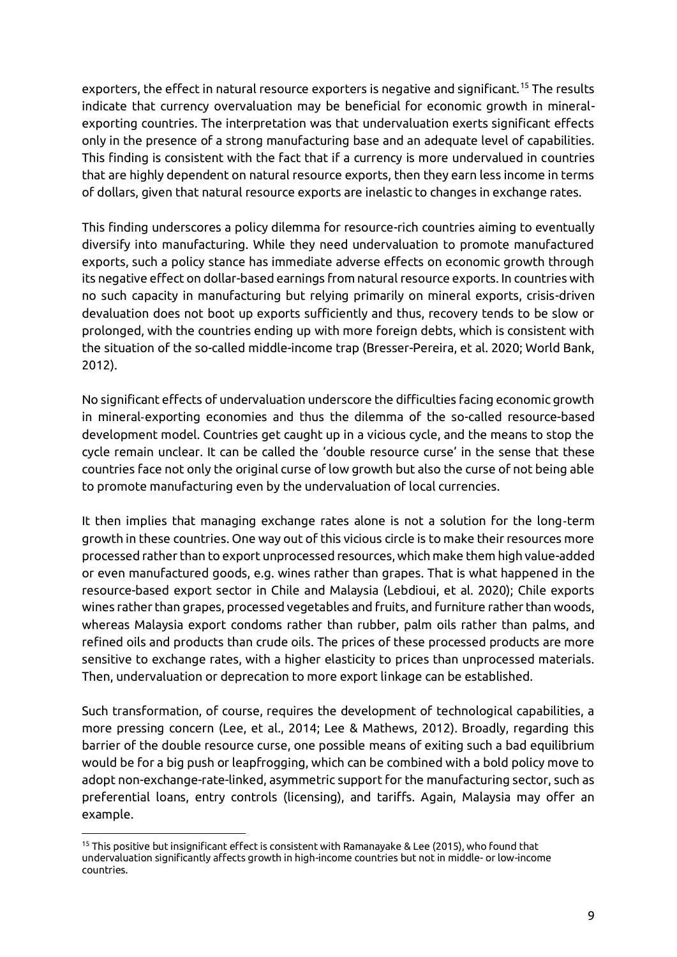exporters, the effect in natural resource exporters is negative and significant.<sup>15</sup> The results indicate that currency overvaluation may be beneficial for economic growth in mineralexporting countries. The interpretation was that undervaluation exerts significant effects only in the presence of a strong manufacturing base and an adequate level of capabilities. This finding is consistent with the fact that if a currency is more undervalued in countries that are highly dependent on natural resource exports, then they earn less income in terms of dollars, given that natural resource exports are inelastic to changes in exchange rates.

This finding underscores a policy dilemma for resource-rich countries aiming to eventually diversify into manufacturing. While they need undervaluation to promote manufactured exports, such a policy stance has immediate adverse effects on economic growth through its negative effect on dollar-based earnings from natural resource exports. In countries with no such capacity in manufacturing but relying primarily on mineral exports, crisis-driven devaluation does not boot up exports sufficiently and thus, recovery tends to be slow or prolonged, with the countries ending up with more foreign debts, which is consistent with the situation of the so-called middle-income trap (Bresser-Pereira, et al. 2020; World Bank, 2012).

No significant effects of undervaluation underscore the difficulties facing economic growth in mineral‑exporting economies and thus the dilemma of the so-called resource-based development model. Countries get caught up in a vicious cycle, and the means to stop the cycle remain unclear. It can be called the 'double resource curse' in the sense that these countries face not only the original curse of low growth but also the curse of not being able to promote manufacturing even by the undervaluation of local currencies.

It then implies that managing exchange rates alone is not a solution for the long-term growth in these countries. One way out of this vicious circle is to make their resources more processed rather than to export unprocessed resources, which make them high value-added or even manufactured goods, e.g. wines rather than grapes. That is what happened in the resource-based export sector in Chile and Malaysia (Lebdioui, et al. 2020); Chile exports wines rather than grapes, processed vegetables and fruits, and furniture rather than woods, whereas Malaysia export condoms rather than rubber, palm oils rather than palms, and refined oils and products than crude oils. The prices of these processed products are more sensitive to exchange rates, with a higher elasticity to prices than unprocessed materials. Then, undervaluation or deprecation to more export linkage can be established.

Such transformation, of course, requires the development of technological capabilities, a more pressing concern (Lee, et al., 2014; Lee & Mathews, 2012). Broadly, regarding this barrier of the double resource curse, one possible means of exiting such a bad equilibrium would be for a big push or leapfrogging, which can be combined with a bold policy move to adopt non-exchange-rate-linked, asymmetric support for the manufacturing sector, such as preferential loans, entry controls (licensing), and tariffs. Again, Malaysia may offer an example.

<sup>&</sup>lt;sup>15</sup> This positive but insignificant effect is consistent with Ramanayake & Lee (2015), who found that undervaluation significantly affects growth in high-income countries but not in middle- or low-income countries.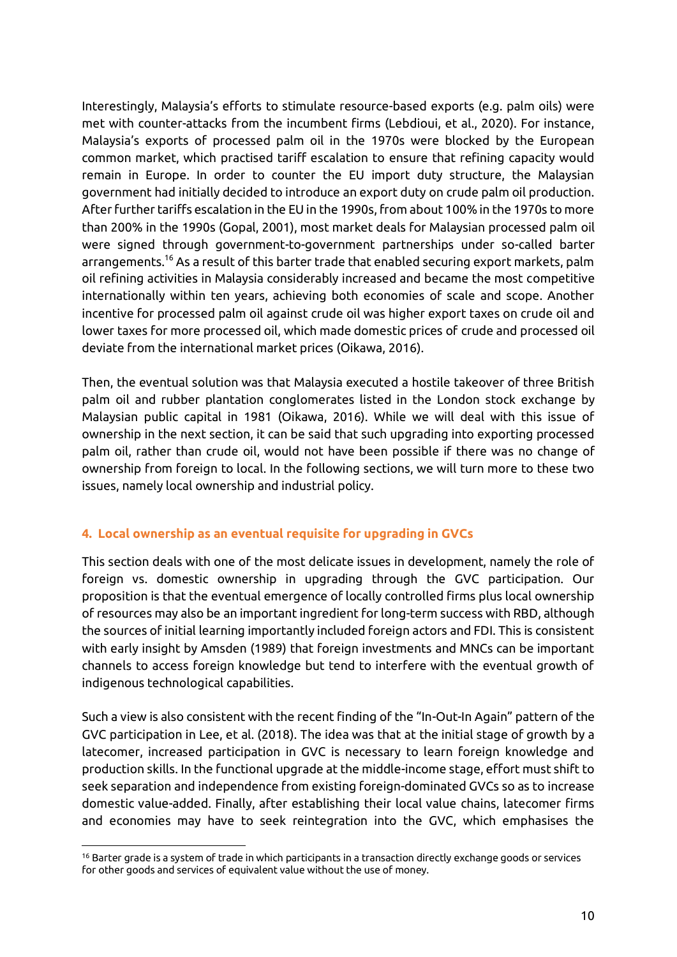Interestingly, Malaysia's efforts to stimulate resource-based exports (e.g. palm oils) were met with counter-attacks from the incumbent firms (Lebdioui, et al., 2020). For instance, Malaysia's exports of processed palm oil in the 1970s were blocked by the European common market, which practised tariff escalation to ensure that refining capacity would remain in Europe. In order to counter the EU import duty structure, the Malaysian government had initially decided to introduce an export duty on crude palm oil production. After further tariffs escalation in the EU in the 1990s, from about 100% in the 1970s to more than 200% in the 1990s (Gopal, 2001), most market deals for Malaysian processed palm oil were signed through government-to-government partnerships under so-called barter arrangements.<sup>16</sup> As a result of this barter trade that enabled securing export markets, palm oil refining activities in Malaysia considerably increased and became the most competitive internationally within ten years, achieving both economies of scale and scope. Another incentive for processed palm oil against crude oil was higher export taxes on crude oil and lower taxes for more processed oil, which made domestic prices of crude and processed oil deviate from the international market prices (Oikawa, 2016).

Then, the eventual solution was that Malaysia executed a hostile takeover of three British palm oil and rubber plantation conglomerates listed in the London stock exchange by Malaysian public capital in 1981 (Oikawa, 2016). While we will deal with this issue of ownership in the next section, it can be said that such upgrading into exporting processed palm oil, rather than crude oil, would not have been possible if there was no change of ownership from foreign to local. In the following sections, we will turn more to these two issues, namely local ownership and industrial policy.

# **4. Local ownership as an eventual requisite for upgrading in GVCs**

This section deals with one of the most delicate issues in development, namely the role of foreign vs. domestic ownership in upgrading through the GVC participation. Our proposition is that the eventual emergence of locally controlled firms plus local ownership of resources may also be an important ingredient for long-term success with RBD, although the sources of initial learning importantly included foreign actors and FDI. This is consistent with early insight by Amsden (1989) that foreign investments and MNCs can be important channels to access foreign knowledge but tend to interfere with the eventual growth of indigenous technological capabilities.

Such a view is also consistent with the recent finding of the "In-Out-In Again" pattern of the GVC participation in Lee, et al. (2018). The idea was that at the initial stage of growth by a latecomer, increased participation in GVC is necessary to learn foreign knowledge and production skills. In the functional upgrade at the middle-income stage, effort must shift to seek separation and independence from existing foreign-dominated GVCs so as to increase domestic value-added. Finally, after establishing their local value chains, latecomer firms and economies may have to seek reintegration into the GVC, which emphasises the

<sup>&</sup>lt;sup>16</sup> Barter grade is a system of trade in which participants in a transaction directly exchange goods or services for other goods and services of equivalent value without the use of money.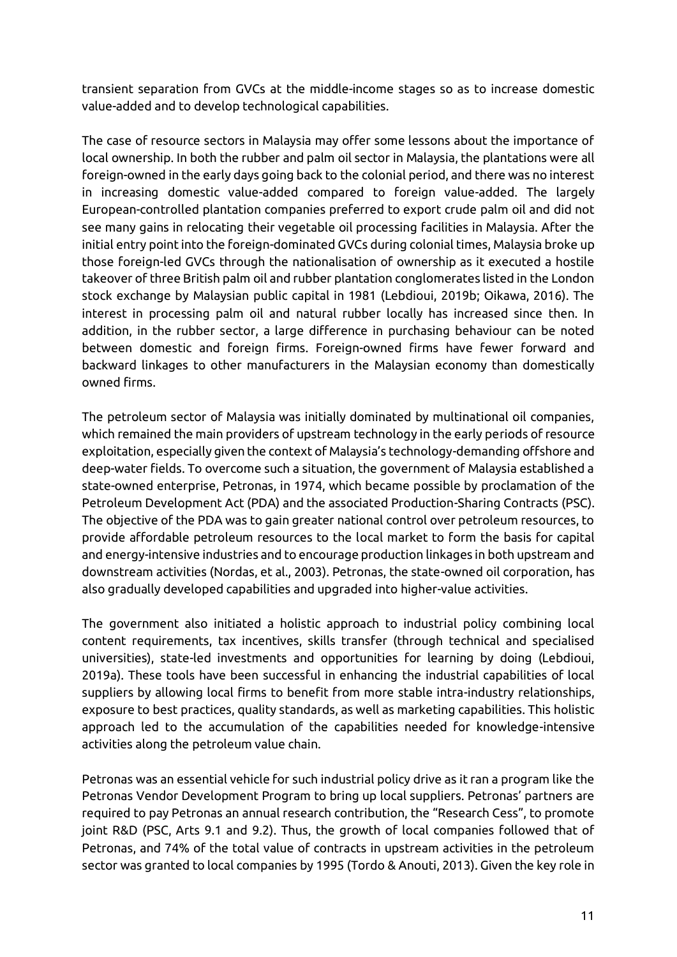transient separation from GVCs at the middle-income stages so as to increase domestic value-added and to develop technological capabilities.

The case of resource sectors in Malaysia may offer some lessons about the importance of local ownership. In both the rubber and palm oil sector in Malaysia, the plantations were all foreign-owned in the early days going back to the colonial period, and there was no interest in increasing domestic value-added compared to foreign value-added. The largely European-controlled plantation companies preferred to export crude palm oil and did not see many gains in relocating their vegetable oil processing facilities in Malaysia. After the initial entry point into the foreign-dominated GVCs during colonial times, Malaysia broke up those foreign-led GVCs through the nationalisation of ownership as it executed a hostile takeover of three British palm oil and rubber plantation conglomerates listed in the London stock exchange by Malaysian public capital in 1981 (Lebdioui, 2019b; Oikawa, 2016). The interest in processing palm oil and natural rubber locally has increased since then. In addition, in the rubber sector, a large difference in purchasing behaviour can be noted between domestic and foreign firms. Foreign-owned firms have fewer forward and backward linkages to other manufacturers in the Malaysian economy than domestically owned firms.

The petroleum sector of Malaysia was initially dominated by multinational oil companies, which remained the main providers of upstream technology in the early periods of resource exploitation, especially given the context of Malaysia's technology-demanding offshore and deep-water fields. To overcome such a situation, the government of Malaysia established a state-owned enterprise, Petronas, in 1974, which became possible by proclamation of the Petroleum Development Act (PDA) and the associated Production-Sharing Contracts (PSC). The objective of the PDA was to gain greater national control over petroleum resources, to provide affordable petroleum resources to the local market to form the basis for capital and energy-intensive industries and to encourage production linkages in both upstream and downstream activities (Nordas, et al., 2003). Petronas, the state-owned oil corporation, has also gradually developed capabilities and upgraded into higher-value activities.

The government also initiated a holistic approach to industrial policy combining local content requirements, tax incentives, skills transfer (through technical and specialised universities), state-led investments and opportunities for learning by doing (Lebdioui, 2019a). These tools have been successful in enhancing the industrial capabilities of local suppliers by allowing local firms to benefit from more stable intra-industry relationships, exposure to best practices, quality standards, as well as marketing capabilities. This holistic approach led to the accumulation of the capabilities needed for knowledge-intensive activities along the petroleum value chain.

Petronas was an essential vehicle for such industrial policy drive as it ran a program like the Petronas Vendor Development Program to bring up local suppliers. Petronas' partners are required to pay Petronas an annual research contribution, the "Research Cess", to promote joint R&D (PSC, Arts 9.1 and 9.2). Thus, the growth of local companies followed that of Petronas, and 74% of the total value of contracts in upstream activities in the petroleum sector was granted to local companies by 1995 (Tordo & Anouti, 2013). Given the key role in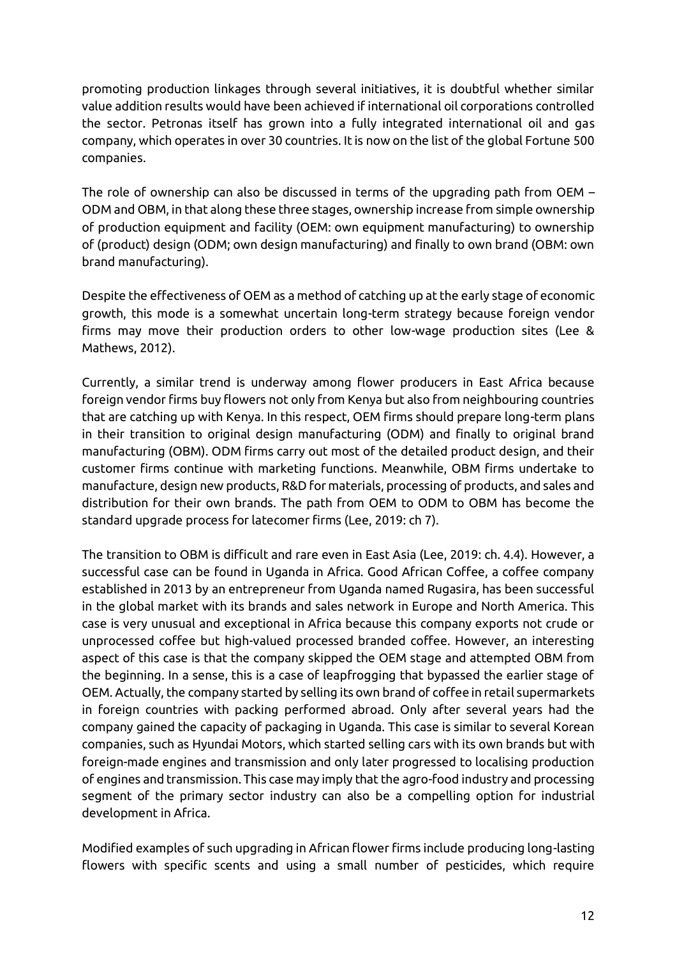promoting production linkages through several initiatives, it is doubtful whether similar value addition results would have been achieved if international oil corporations controlled the sector. Petronas itself has grown into a fully integrated international oil and gas company, which operates in over 30 countries. It is now on the list of the global Fortune 500 companies.

The role of ownership can also be discussed in terms of the upgrading path from OEM – ODM and OBM, in that along these three stages, ownership increase from simple ownership of production equipment and facility (OEM: own equipment manufacturing) to ownership of (product) design (ODM; own design manufacturing) and finally to own brand (OBM: own brand manufacturing).

Despite the effectiveness of OEM as a method of catching up at the early stage of economic growth, this mode is a somewhat uncertain long-term strategy because foreign vendor firms may move their production orders to other low-wage production sites (Lee & Mathews, 2012).

Currently, a similar trend is underway among flower producers in East Africa because foreign vendor firms buy flowers not only from Kenya but also from neighbouring countries that are catching up with Kenya. In this respect, OEM firms should prepare long-term plans in their transition to original design manufacturing (ODM) and finally to original brand manufacturing (OBM). ODM firms carry out most of the detailed product design, and their customer firms continue with marketing functions. Meanwhile, OBM firms undertake to manufacture, design new products, R&D for materials, processing of products, and sales and distribution for their own brands. The path from OEM to ODM to OBM has become the standard upgrade process for latecomer firms (Lee, 2019: ch 7).

The transition to OBM is difficult and rare even in East Asia (Lee, 2019: ch. 4.4). However, a successful case can be found in Uganda in Africa. Good African Coffee, a coffee company established in 2013 by an entrepreneur from Uganda named Rugasira, has been successful in the global market with its brands and sales network in Europe and North America. This case is very unusual and exceptional in Africa because this company exports not crude or unprocessed coffee but high-valued processed branded coffee. However, an interesting aspect of this case is that the company skipped the OEM stage and attempted OBM from the beginning. In a sense, this is a case of leapfrogging that bypassed the earlier stage of OEM. Actually, the company started by selling its own brand of coffee in retail supermarkets in foreign countries with packing performed abroad. Only after several years had the company gained the capacity of packaging in Uganda. This case is similar to several Korean companies, such as Hyundai Motors, which started selling cars with its own brands but with foreign-made engines and transmission and only later progressed to localising production of engines and transmission. This case may imply that the agro-food industry and processing segment of the primary sector industry can also be a compelling option for industrial development in Africa.

Modified examples of such upgrading in African flower firms include producing long-lasting flowers with specific scents and using a small number of pesticides, which require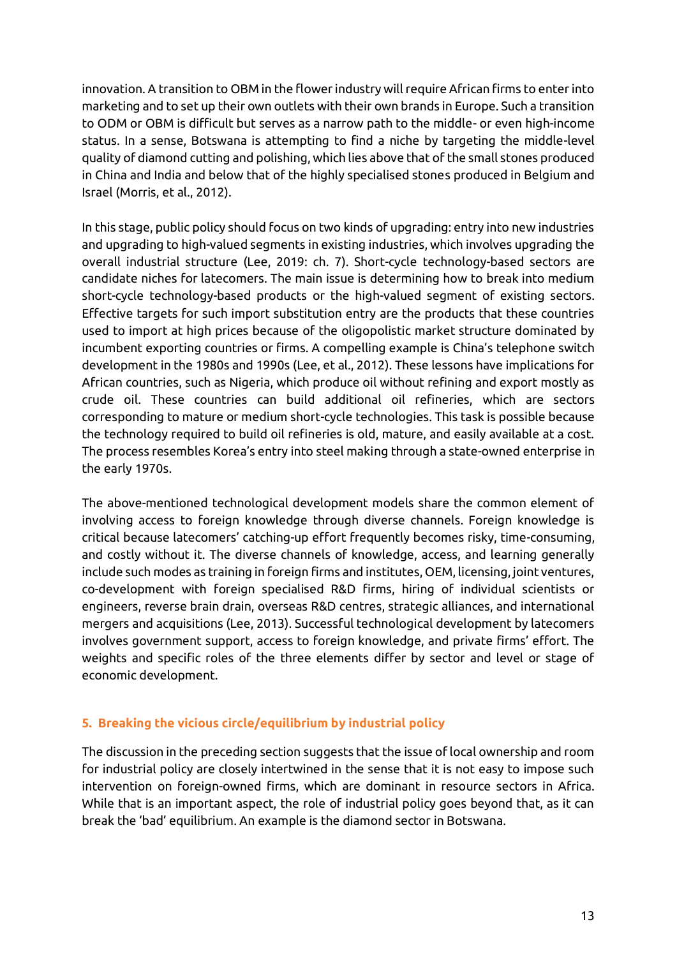innovation. A transition to OBM in the flower industry will require African firms to enter into marketing and to set up their own outlets with their own brands in Europe. Such a transition to ODM or OBM is difficult but serves as a narrow path to the middle- or even high-income status. In a sense, Botswana is attempting to find a niche by targeting the middle-level quality of diamond cutting and polishing, which lies above that of the small stones produced in China and India and below that of the highly specialised stones produced in Belgium and Israel (Morris, et al., 2012).

In this stage, public policy should focus on two kinds of upgrading: entry into new industries and upgrading to high-valued segments in existing industries, which involves upgrading the overall industrial structure (Lee, 2019: ch. 7). Short-cycle technology-based sectors are candidate niches for latecomers. The main issue is determining how to break into medium short-cycle technology-based products or the high-valued segment of existing sectors. Effective targets for such import substitution entry are the products that these countries used to import at high prices because of the oligopolistic market structure dominated by incumbent exporting countries or firms. A compelling example is China's telephone switch development in the 1980s and 1990s (Lee, et al., 2012). These lessons have implications for African countries, such as Nigeria, which produce oil without refining and export mostly as crude oil. These countries can build additional oil refineries, which are sectors corresponding to mature or medium short-cycle technologies. This task is possible because the technology required to build oil refineries is old, mature, and easily available at a cost. The process resembles Korea's entry into steel making through a state-owned enterprise in the early 1970s.

The above-mentioned technological development models share the common element of involving access to foreign knowledge through diverse channels. Foreign knowledge is critical because latecomers' catching-up effort frequently becomes risky, time-consuming, and costly without it. The diverse channels of knowledge, access, and learning generally include such modes as training in foreign firms and institutes, OEM, licensing, joint ventures, co-development with foreign specialised R&D firms, hiring of individual scientists or engineers, reverse brain drain, overseas R&D centres, strategic alliances, and international mergers and acquisitions (Lee, 2013). Successful technological development by latecomers involves government support, access to foreign knowledge, and private firms' effort. The weights and specific roles of the three elements differ by sector and level or stage of economic development.

#### **5. Breaking the vicious circle/equilibrium by industrial policy**

The discussion in the preceding section suggests that the issue of local ownership and room for industrial policy are closely intertwined in the sense that it is not easy to impose such intervention on foreign-owned firms, which are dominant in resource sectors in Africa. While that is an important aspect, the role of industrial policy goes beyond that, as it can break the 'bad' equilibrium. An example is the diamond sector in Botswana.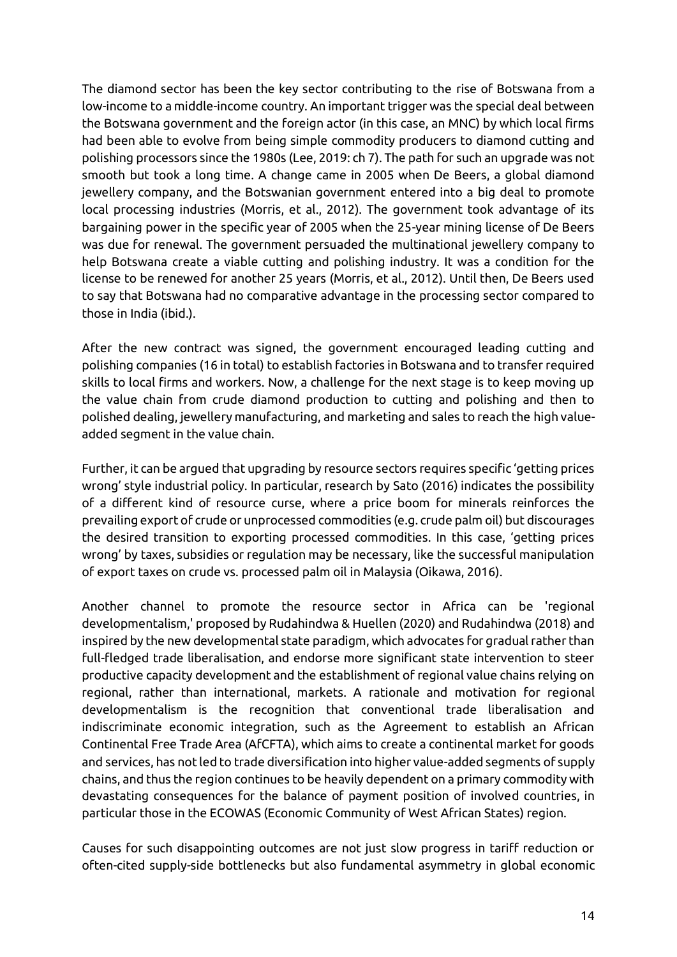The diamond sector has been the key sector contributing to the rise of Botswana from a low-income to a middle-income country. An important trigger was the special deal between the Botswana government and the foreign actor (in this case, an MNC) by which local firms had been able to evolve from being simple commodity producers to diamond cutting and polishing processors since the 1980s (Lee, 2019: ch 7). The path for such an upgrade was not smooth but took a long time. A change came in 2005 when De Beers, a global diamond jewellery company, and the Botswanian government entered into a big deal to promote local processing industries (Morris, et al., 2012). The government took advantage of its bargaining power in the specific year of 2005 when the 25-year mining license of De Beers was due for renewal. The government persuaded the multinational jewellery company to help Botswana create a viable cutting and polishing industry. It was a condition for the license to be renewed for another 25 years (Morris, et al., 2012). Until then, De Beers used to say that Botswana had no comparative advantage in the processing sector compared to those in India (ibid.).

After the new contract was signed, the government encouraged leading cutting and polishing companies (16 in total) to establish factories in Botswana and to transfer required skills to local firms and workers. Now, a challenge for the next stage is to keep moving up the value chain from crude diamond production to cutting and polishing and then to polished dealing, jewellery manufacturing, and marketing and sales to reach the high valueadded segment in the value chain.

Further, it can be argued that upgrading by resource sectors requires specific 'getting prices wrong' style industrial policy. In particular, research by Sato (2016) indicates the possibility of a different kind of resource curse, where a price boom for minerals reinforces the prevailing export of crude or unprocessed commodities (e.g. crude palm oil) but discourages the desired transition to exporting processed commodities. In this case, 'getting prices wrong' by taxes, subsidies or regulation may be necessary, like the successful manipulation of export taxes on crude vs. processed palm oil in Malaysia (Oikawa, 2016).

Another channel to promote the resource sector in Africa can be 'regional developmentalism,' proposed by Rudahindwa & Huellen (2020) and Rudahindwa (2018) and inspired by the new developmental state paradigm, which advocates for gradual rather than full-fledged trade liberalisation, and endorse more significant state intervention to steer productive capacity development and the establishment of regional value chains relying on regional, rather than international, markets. A rationale and motivation for regional developmentalism is the recognition that conventional trade liberalisation and indiscriminate economic integration, such as the Agreement to establish an African Continental Free Trade Area (AfCFTA), which aims to create a continental market for goods and services, has not led to trade diversification into higher value-added segments of supply chains, and thus the region continues to be heavily dependent on a primary commodity with devastating consequences for the balance of payment position of involved countries, in particular those in the ECOWAS (Economic Community of West African States) region.

Causes for such disappointing outcomes are not just slow progress in tariff reduction or often-cited supply-side bottlenecks but also fundamental asymmetry in global economic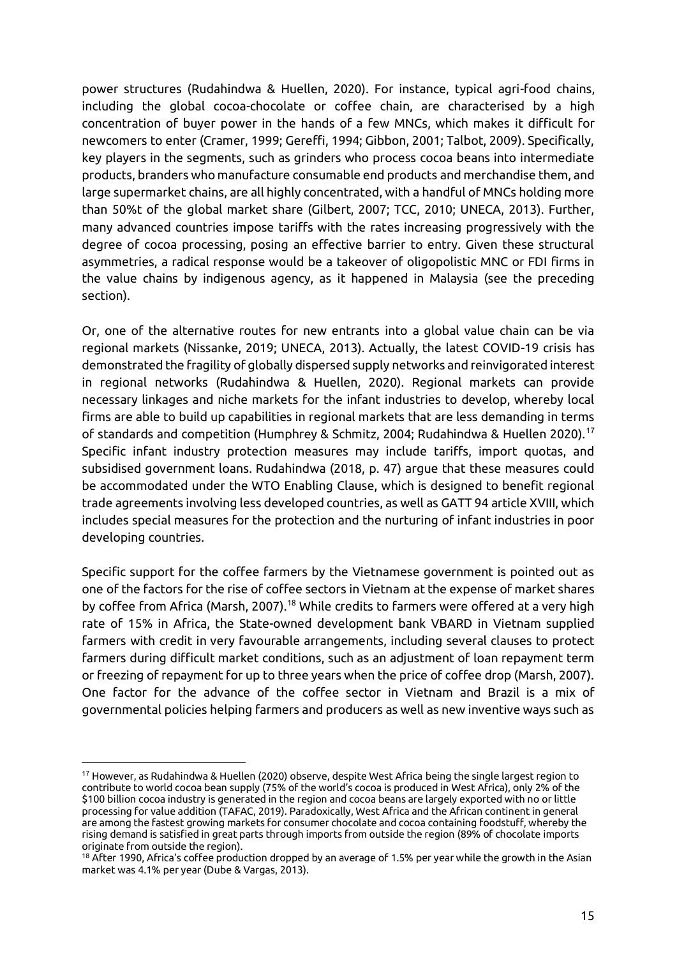power structures (Rudahindwa & Huellen, 2020). For instance, typical agri-food chains, including the global cocoa-chocolate or coffee chain, are characterised by a high concentration of buyer power in the hands of a few MNCs, which makes it difficult for newcomers to enter (Cramer, 1999; Gereffi, 1994; Gibbon, 2001; Talbot, 2009). Specifically, key players in the segments, such as grinders who process cocoa beans into intermediate products, branders who manufacture consumable end products and merchandise them, and large supermarket chains, are all highly concentrated, with a handful of MNCs holding more than 50%t of the global market share (Gilbert, 2007; TCC, 2010; UNECA, 2013). Further, many advanced countries impose tariffs with the rates increasing progressively with the degree of cocoa processing, posing an effective barrier to entry. Given these structural asymmetries, a radical response would be a takeover of oligopolistic MNC or FDI firms in the value chains by indigenous agency, as it happened in Malaysia (see the preceding section).

Or, one of the alternative routes for new entrants into a global value chain can be via regional markets (Nissanke, 2019; UNECA, 2013). Actually, the latest COVID-19 crisis has demonstrated the fragility of globally dispersed supply networks and reinvigorated interest in regional networks (Rudahindwa & Huellen, 2020). Regional markets can provide necessary linkages and niche markets for the infant industries to develop, whereby local firms are able to build up capabilities in regional markets that are less demanding in terms of standards and competition (Humphrey & Schmitz, 2004; Rudahindwa & Huellen 2020).<sup>17</sup> Specific infant industry protection measures may include tariffs, import quotas, and subsidised government loans. Rudahindwa (2018, p. 47) argue that these measures could be accommodated under the WTO Enabling Clause, which is designed to benefit regional trade agreements involving less developed countries, as well as GATT 94 article XVIII, which includes special measures for the protection and the nurturing of infant industries in poor developing countries.

Specific support for the coffee farmers by the Vietnamese government is pointed out as one of the factors for the rise of coffee sectors in Vietnam at the expense of market shares by coffee from Africa (Marsh, 2007).<sup>18</sup> While credits to farmers were offered at a very high rate of 15% in Africa, the State-owned development bank VBARD in Vietnam supplied farmers with credit in very favourable arrangements, including several clauses to protect farmers during difficult market conditions, such as an adjustment of loan repayment term or freezing of repayment for up to three years when the price of coffee drop (Marsh, 2007). One factor for the advance of the coffee sector in Vietnam and Brazil is a mix of governmental policies helping farmers and producers as well as new inventive ways such as

<sup>&</sup>lt;sup>17</sup> However, as Rudahindwa & Huellen (2020) observe, despite West Africa being the single largest region to contribute to world cocoa bean supply (75% of the world's cocoa is produced in West Africa), only 2% of the \$100 billion cocoa industry is generated in the region and cocoa beans are largely exported with no or little processing for value addition (TAFAC, 2019). Paradoxically, West Africa and the African continent in general are among the fastest growing markets for consumer chocolate and cocoa containing foodstuff, whereby the rising demand is satisfied in great parts through imports from outside the region (89% of chocolate imports originate from outside the region).

<sup>&</sup>lt;sup>18</sup> After 1990, Africa's coffee production dropped by an average of 1.5% per year while the growth in the Asian market was 4.1% per year (Dube & Vargas, 2013).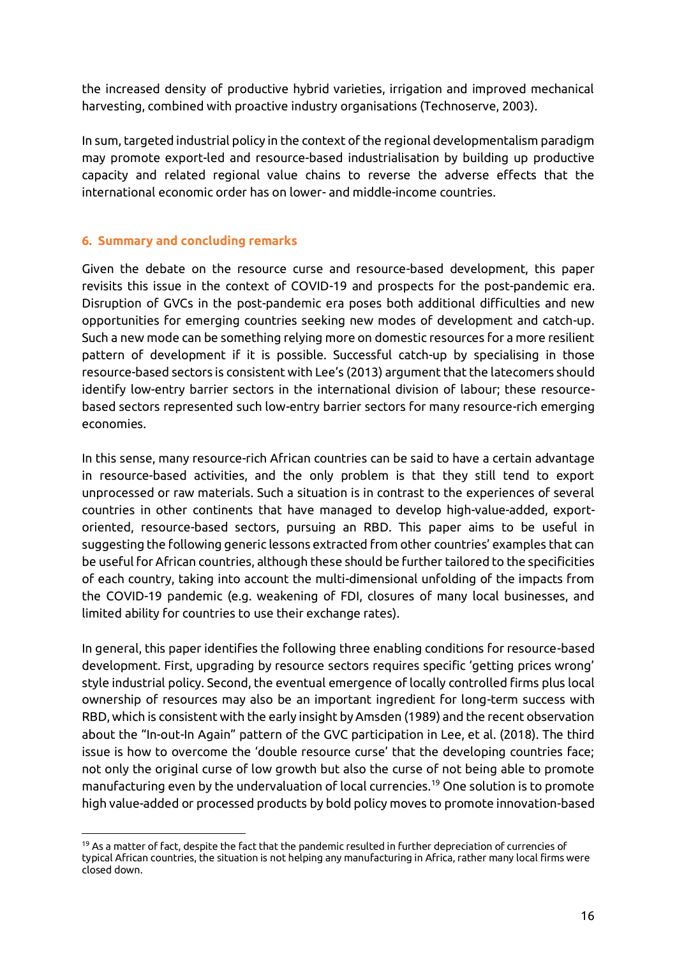the increased density of productive hybrid varieties, irrigation and improved mechanical harvesting, combined with proactive industry organisations (Technoserve, 2003).

In sum, targeted industrial policy in the context of the regional developmentalism paradigm may promote export-led and resource-based industrialisation by building up productive capacity and related regional value chains to reverse the adverse effects that the international economic order has on lower- and middle-income countries.

# **6. Summary and concluding remarks**

 $\overline{a}$ 

Given the debate on the resource curse and resource-based development, this paper revisits this issue in the context of COVID-19 and prospects for the post-pandemic era. Disruption of GVCs in the post-pandemic era poses both additional difficulties and new opportunities for emerging countries seeking new modes of development and catch-up. Such a new mode can be something relying more on domestic resources for a more resilient pattern of development if it is possible. Successful catch-up by specialising in those resource-based sectors is consistent with Lee's (2013) argument that the latecomers should identify low-entry barrier sectors in the international division of labour; these resourcebased sectors represented such low-entry barrier sectors for many resource-rich emerging economies.

In this sense, many resource-rich African countries can be said to have a certain advantage in resource-based activities, and the only problem is that they still tend to export unprocessed or raw materials. Such a situation is in contrast to the experiences of several countries in other continents that have managed to develop high-value-added, exportoriented, resource-based sectors, pursuing an RBD. This paper aims to be useful in suggesting the following generic lessons extracted from other countries' examples that can be useful for African countries, although these should be further tailored to the specificities of each country, taking into account the multi-dimensional unfolding of the impacts from the COVID-19 pandemic (e.g. weakening of FDI, closures of many local businesses, and limited ability for countries to use their exchange rates).

In general, this paper identifies the following three enabling conditions for resource-based development. First, upgrading by resource sectors requires specific 'getting prices wrong' style industrial policy. Second, the eventual emergence of locally controlled firms plus local ownership of resources may also be an important ingredient for long-term success with RBD, which is consistent with the early insight by Amsden (1989) and the recent observation about the "In-out-In Again" pattern of the GVC participation in Lee, et al. (2018). The third issue is how to overcome the 'double resource curse' that the developing countries face; not only the original curse of low growth but also the curse of not being able to promote manufacturing even by the undervaluation of local currencies.<sup>19</sup> One solution is to promote high value-added or processed products by bold policy moves to promote innovation-based

<sup>&</sup>lt;sup>19</sup> As a matter of fact, despite the fact that the pandemic resulted in further depreciation of currencies of typical African countries, the situation is not helping any manufacturing in Africa, rather many local firms were closed down.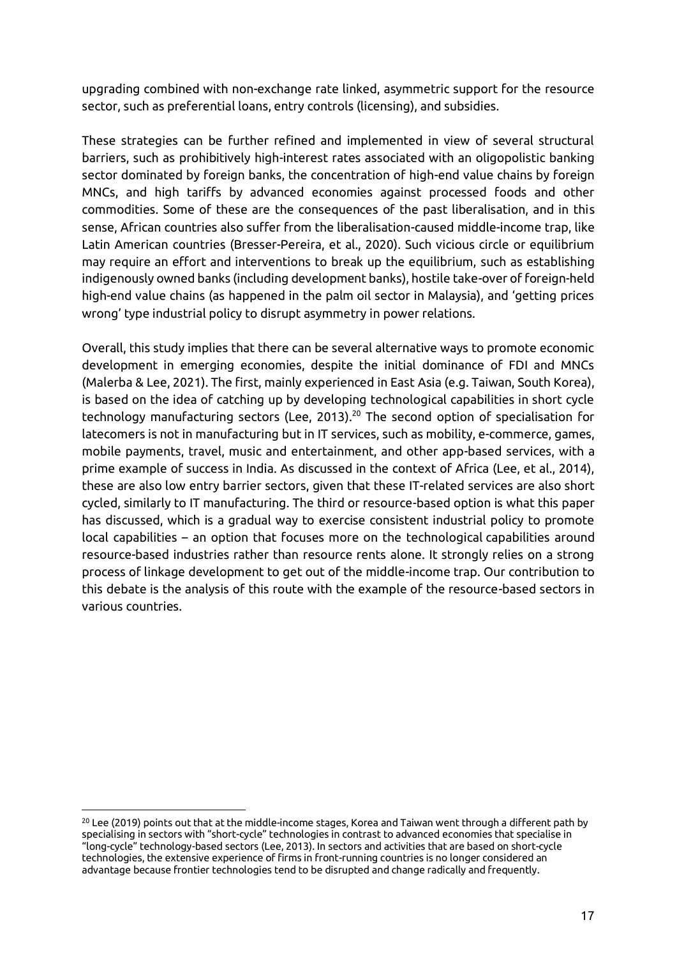upgrading combined with non-exchange rate linked, asymmetric support for the resource sector, such as preferential loans, entry controls (licensing), and subsidies.

These strategies can be further refined and implemented in view of several structural barriers, such as prohibitively high-interest rates associated with an oligopolistic banking sector dominated by foreign banks, the concentration of high-end value chains by foreign MNCs, and high tariffs by advanced economies against processed foods and other commodities. Some of these are the consequences of the past liberalisation, and in this sense, African countries also suffer from the liberalisation-caused middle-income trap, like Latin American countries (Bresser-Pereira, et al., 2020). Such vicious circle or equilibrium may require an effort and interventions to break up the equilibrium, such as establishing indigenously owned banks (including development banks), hostile take-over of foreign-held high-end value chains (as happened in the palm oil sector in Malaysia), and 'getting prices wrong' type industrial policy to disrupt asymmetry in power relations.

Overall, this study implies that there can be several alternative ways to promote economic development in emerging economies, despite the initial dominance of FDI and MNCs (Malerba & Lee, 2021). The first, mainly experienced in East Asia (e.g. Taiwan, South Korea), is based on the idea of catching up by developing technological capabilities in short cycle technology manufacturing sectors (Lee, 2013).<sup>20</sup> The second option of specialisation for latecomers is not in manufacturing but in IT services, such as mobility, e-commerce, games, mobile payments, travel, music and entertainment, and other app-based services, with a prime example of success in India. As discussed in the context of Africa (Lee, et al., 2014), these are also low entry barrier sectors, given that these IT-related services are also short cycled, similarly to IT manufacturing. The third or resource-based option is what this paper has discussed, which is a gradual way to exercise consistent industrial policy to promote local capabilities – an option that focuses more on the technological capabilities around resource-based industries rather than resource rents alone. It strongly relies on a strong process of linkage development to get out of the middle-income trap. Our contribution to this debate is the analysis of this route with the example of the resource-based sectors in various countries.

<sup>&</sup>lt;sup>20</sup> Lee (2019) points out that at the middle-income stages, Korea and Taiwan went through a different path by specialising in sectors with "short-cycle" technologies in contrast to advanced economies that specialise in "long-cycle" technology-based sectors (Lee, 2013). In sectors and activities that are based on short-cycle technologies, the extensive experience of firms in front-running countries is no longer considered an advantage because frontier technologies tend to be disrupted and change radically and frequently.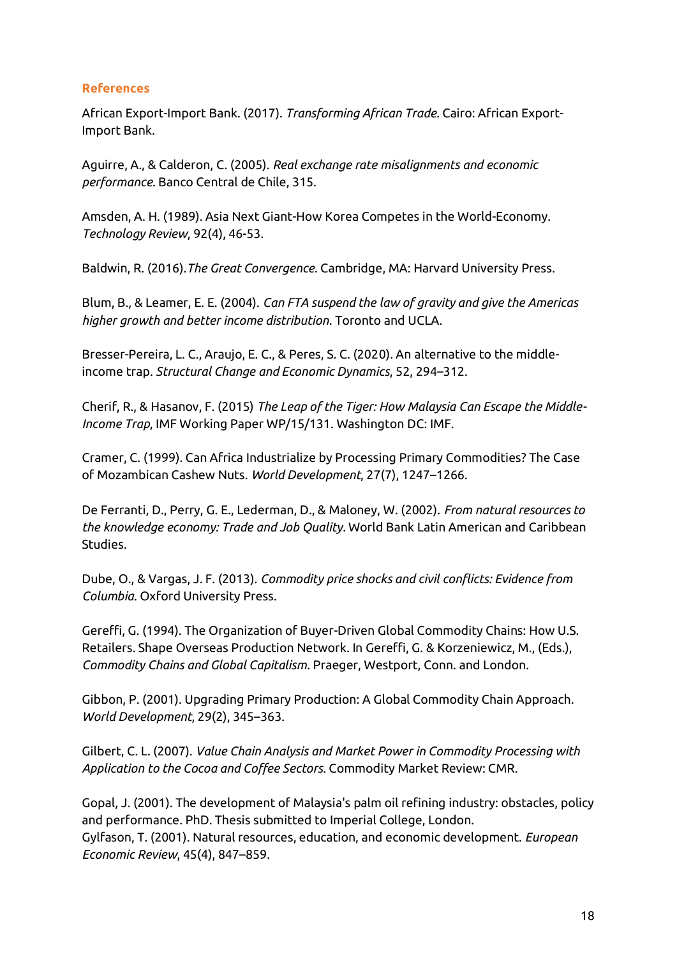# **References**

African Export-Import Bank. (2017). *Transforming African Trade*. Cairo: African Export-Import Bank.

Aguirre, A., & Calderon, C. (2005). *Real exchange rate misalignments and economic performance*. Banco Central de Chile, 315.

Amsden, A. H. (1989). Asia Next Giant-How Korea Competes in the World-Economy. *Technology Review*, 92(4), 46-53.

Baldwin, R. (2016).*The Great Convergence*. Cambridge, MA: Harvard University Press.

Blum, B., & Leamer, E. E. (2004). *Can FTA suspend the law of gravity and give the Americas higher growth and better income distribution*. Toronto and UCLA.

Bresser-Pereira, L. C., Araujo, E. C., & Peres, S. C. (2020). An alternative to the middleincome trap. *Structural Change and Economic Dynamics*, 52, 294–312.

Cherif, R., & Hasanov, F. (2015) *The Leap of the Tiger: How Malaysia Can Escape the Middle-Income Trap*, IMF Working Paper WP/15/131. Washington DC: IMF.

Cramer, C. (1999). Can Africa Industrialize by Processing Primary Commodities? The Case of Mozambican Cashew Nuts. *World Development*, 27(7), 1247–1266.

De Ferranti, D., Perry, G. E., Lederman, D., & Maloney, W. (2002). *From natural resources to the knowledge economy: Trade and Job Quality*. World Bank Latin American and Caribbean Studies.

Dube, O., & Vargas, J. F. (2013). *Commodity price shocks and civil conflicts: Evidence from Columbia*. Oxford University Press.

Gereffi, G. (1994). The Organization of Buyer-Driven Global Commodity Chains: How U.S. Retailers. Shape Overseas Production Network. In Gereffi, G. & Korzeniewicz, M., (Eds.), *Commodity Chains and Global Capitalism*. Praeger, Westport, Conn. and London.

Gibbon, P. (2001). Upgrading Primary Production: A Global Commodity Chain Approach. *World Development*, 29(2), 345–363.

Gilbert, C. L. (2007). *Value Chain Analysis and Market Power in Commodity Processing with Application to the Cocoa and Coffee Sectors*. Commodity Market Review: CMR.

Gopal, J. (2001). The development of Malaysia's palm oil refining industry: obstacles, policy and performance. PhD. Thesis submitted to Imperial College, London. Gylfason, T. (2001). Natural resources, education, and economic development. *European Economic Review*, 45(4), 847–859.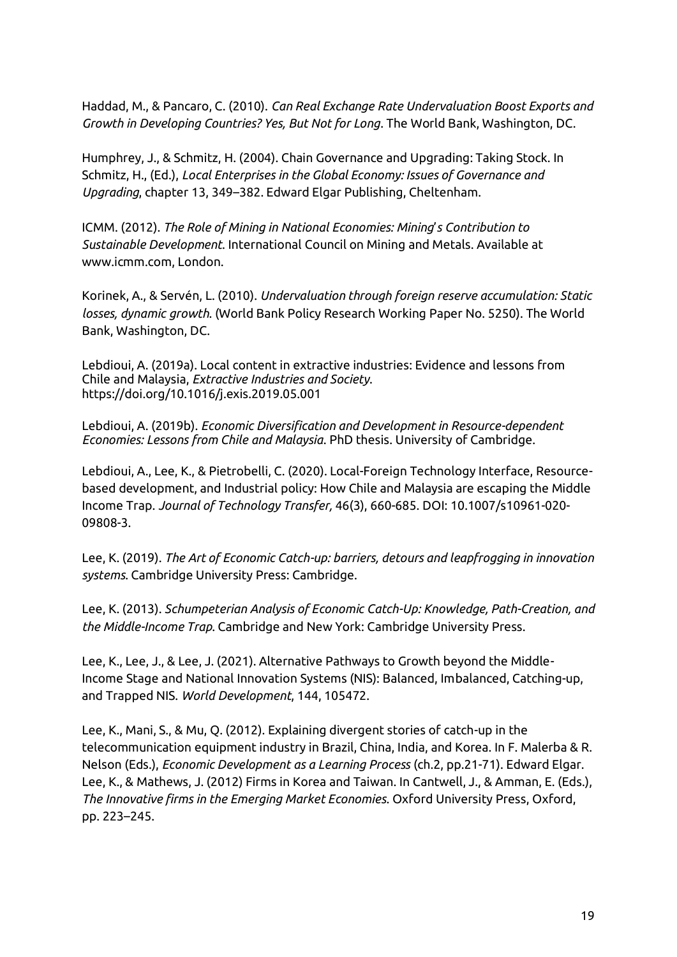Haddad, M., & Pancaro, C. (2010). *Can Real Exchange Rate Undervaluation Boost Exports and Growth in Developing Countries? Yes, But Not for Long*. The World Bank, Washington, DC.

Humphrey, J., & Schmitz, H. (2004). Chain Governance and Upgrading: Taking Stock. In Schmitz, H., (Ed.), *Local Enterprises in the Global Economy: Issues of Governance and Upgrading*, chapter 13, 349–382. Edward Elgar Publishing, Cheltenham.

ICMM. (2012). *The Role of Mining in National Economies: Mining*'*s Contribution to Sustainable Development*. International Council on Mining and Metals. Available at www.icmm.com, London.

Korinek, A., & Servén, L. (2010). *Undervaluation through foreign reserve accumulation: Static losses, dynamic growth*. (World Bank Policy Research Working Paper No. 5250). The World Bank, Washington, DC.

Lebdioui, A. (2019a). Local content in extractive industries: Evidence and lessons from Chile and Malaysia, *Extractive Industries and Society*. <https://doi.org/10.1016/j.exis.2019.05.001>

Lebdioui, A. (2019b). *Economic Diversification and Development in Resource-dependent Economies: Lessons from Chile and Malaysia*. PhD thesis. University of Cambridge.

Lebdioui, A., Lee, K., & Pietrobelli, C. (2020). Local-Foreign Technology Interface, Resourcebased development, and Industrial policy: How Chile and Malaysia are escaping the Middle Income Trap. *Journal of Technology Transfer,* 46(3), 660-685. DOI: 10.1007/s10961-020- 09808-3.

Lee, K. (2019). *The Art of Economic Catch-up: barriers, detours and leapfrogging in innovation systems*. Cambridge University Press: Cambridge.

Lee, K. (2013). *Schumpeterian Analysis of Economic Catch-Up: Knowledge, Path-Creation, and the Middle-Income Trap*. Cambridge and New York: Cambridge University Press.

Lee, K., Lee, J., & Lee, J. (2021). Alternative Pathways to Growth beyond the Middle-Income Stage and National Innovation Systems (NIS): Balanced, Imbalanced, Catching-up, and Trapped NIS. *World Development*, 144, 105472.

Lee, K., Mani, S., & Mu, Q. (2012). Explaining divergent stories of catch-up in the telecommunication equipment industry in Brazil, China, India, and Korea. In F. Malerba & R. Nelson (Eds.), *Economic Development as a Learning Process* (ch.2, pp.21-71). Edward Elgar. Lee, K., & Mathews, J. (2012) Firms in Korea and Taiwan. In Cantwell, J., & Amman, E. (Eds.), *The Innovative firms in the Emerging Market Economies*. Oxford University Press, Oxford, pp. 223–245.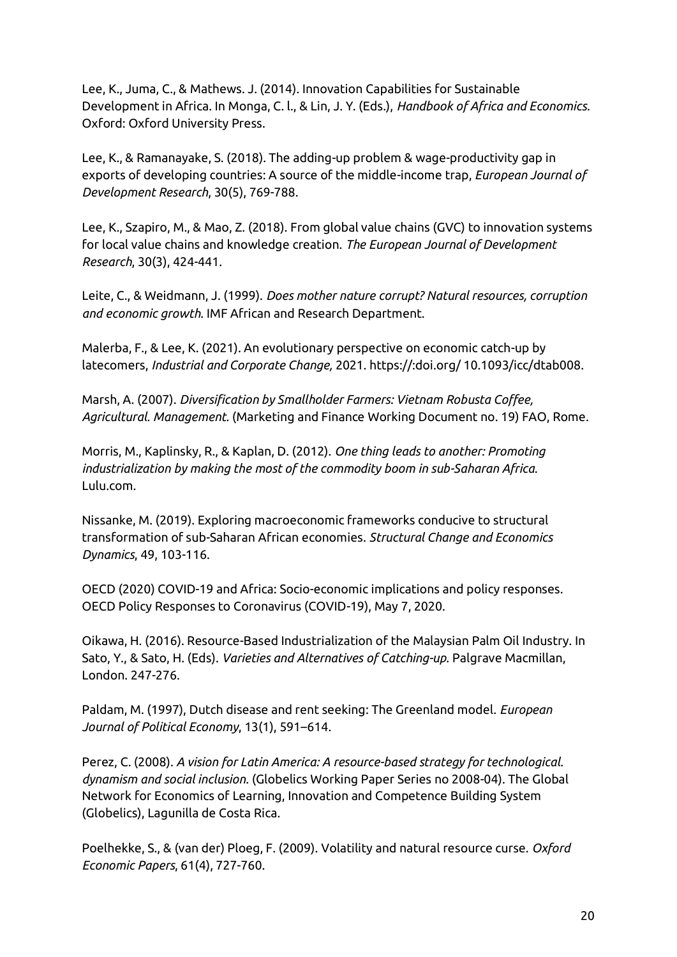Lee, K., Juma, C., & Mathews. J. (2014). Innovation Capabilities for Sustainable Development in Africa. In Monga, C. l., & Lin, J. Y. (Eds.), *Handbook of Africa and Economics*. Oxford: Oxford University Press.

Lee, K., & Ramanayake, S. (2018). The adding-up problem & wage-productivity gap in exports of developing countries: A source of the middle-income trap, *European Journal of Development Research*, 30(5), 769-788.

Lee, K., Szapiro, M., & Mao, Z. (2018). From global value chains (GVC) to innovation systems for local value chains and knowledge creation. *The European Journal of Development Research*, 30(3), 424-441.

Leite, C., & Weidmann, J. (1999). *Does mother nature corrupt? Natural resources, corruption and economic growth*. IMF African and Research Department.

Malerba, F., & Lee, K. (2021). An evolutionary perspective on economic catch-up by latecomers, *Industrial and Corporate Change,* 2021. https://:doi.org/ 10.1093/icc/dtab008.

Marsh, A. (2007). *Diversification by Smallholder Farmers: Vietnam Robusta Coffee, Agricultural. Management*. (Marketing and Finance Working Document no. 19) FAO, Rome.

Morris, M., Kaplinsky, R., & Kaplan, D. (2012). *One thing leads to another: Promoting industrialization by making the most of the commodity boom in sub-Saharan Africa*. Lulu.com.

Nissanke, M. (2019). Exploring macroeconomic frameworks conducive to structural transformation of sub-Saharan African economies. *Structural Change and Economics Dynamics*, 49, 103-116.

OECD (2020) COVID-19 and Africa: Socio-economic implications and policy responses. OECD Policy Responses to Coronavirus (COVID-19), May 7, 2020.

Oikawa, H. (2016). Resource-Based Industrialization of the Malaysian Palm Oil Industry. In Sato, Y., & Sato, H. (Eds). *Varieties and Alternatives of Catching-up*. Palgrave Macmillan, London. 247-276.

Paldam, M. (1997), Dutch disease and rent seeking: The Greenland model. *European Journal of Political Economy*, 13(1), 591–614.

Perez, C. (2008). *A vision for Latin America: A resource-based strategy for technological. dynamism and social inclusion.* (Globelics Working Paper Series no 2008-04). The Global Network for Economics of Learning, Innovation and Competence Building System (Globelics), Lagunilla de Costa Rica.

Poelhekke, S., & (van der) Ploeg, F. (2009). Volatility and natural resource curse. *Oxford Economic Papers*, 61(4), 727-760.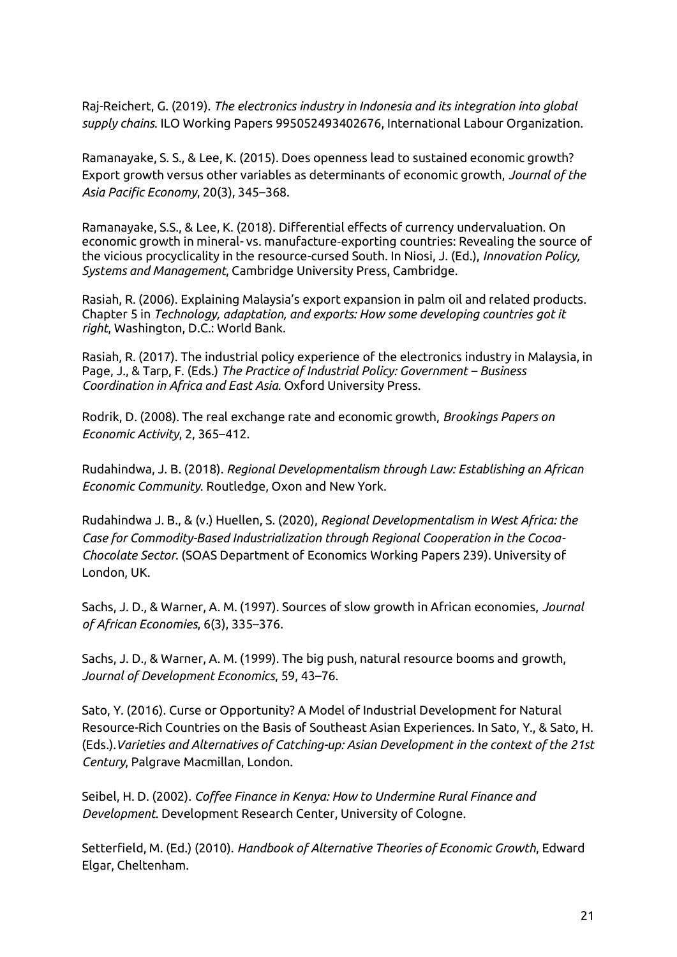Raj-Reichert, G. (2019). *The electronics industry in Indonesia and its integration into global supply chains.* ILO Working Papers 995052493402676, International Labour Organization.

Ramanayake, S. S., & Lee, K. (2015). Does openness lead to sustained economic growth? Export growth versus other variables as determinants of economic growth, *Journal of the Asia Pacific Economy*, 20(3), 345–368.

Ramanayake, S.S., & Lee, K. (2018). Differential effects of currency undervaluation. On economic growth in mineral- vs. manufacture‑exporting countries: Revealing the source of the vicious procyclicality in the resource-cursed South. In Niosi, J. (Ed.), *Innovation Policy, Systems and Management*, Cambridge University Press, Cambridge.

Rasiah, R. (2006). Explaining Malaysia's export expansion in palm oil and related products. Chapter 5 in *Technology, adaptation, and exports: How some developing countries got it right*, Washington, D.C.: World Bank.

Rasiah, R. (2017). The industrial policy experience of the electronics industry in Malaysia, in Page, J., & Tarp, F. (Eds.) *The Practice of Industrial Policy: Government - Business Coordination in Africa and East Asia*. Oxford University Press.

Rodrik, D. (2008). The real exchange rate and economic growth, *Brookings Papers on Economic Activity*, 2, 365–412.

Rudahindwa, J. B. (2018). *Regional Developmentalism through Law: Establishing an African Economic Community*. Routledge, Oxon and New York.

Rudahindwa J. B., & (v.) Huellen, S. (2020), *Regional Developmentalism in West Africa: the Case for Commodity-Based Industrialization through Regional Cooperation in the Cocoa-Chocolate Sector.* (SOAS Department of Economics Working Papers 239). University of London, UK.

Sachs, J. D., & Warner, A. M. (1997). Sources of slow growth in African economies, *Journal of African Economies*, 6(3), 335–376.

Sachs, J. D., & Warner, A. M. (1999). The big push, natural resource booms and growth, *Journal of Development Economics*, 59, 43–76.

Sato, Y. (2016). Curse or Opportunity? A Model of Industrial Development for Natural Resource-Rich Countries on the Basis of Southeast Asian Experiences. In Sato, Y., & Sato, H. (Eds.).*Varieties and Alternatives of Catching-up: Asian Development in the context of the 21st Century*, Palgrave Macmillan, London.

Seibel, H. D. (2002). *Coffee Finance in Kenya: How to Undermine Rural Finance and Development*. Development Research Center, University of Cologne.

Setterfield, M. (Ed.) (2010). *Handbook of Alternative Theories of Economic Growth*, Edward Elgar, Cheltenham.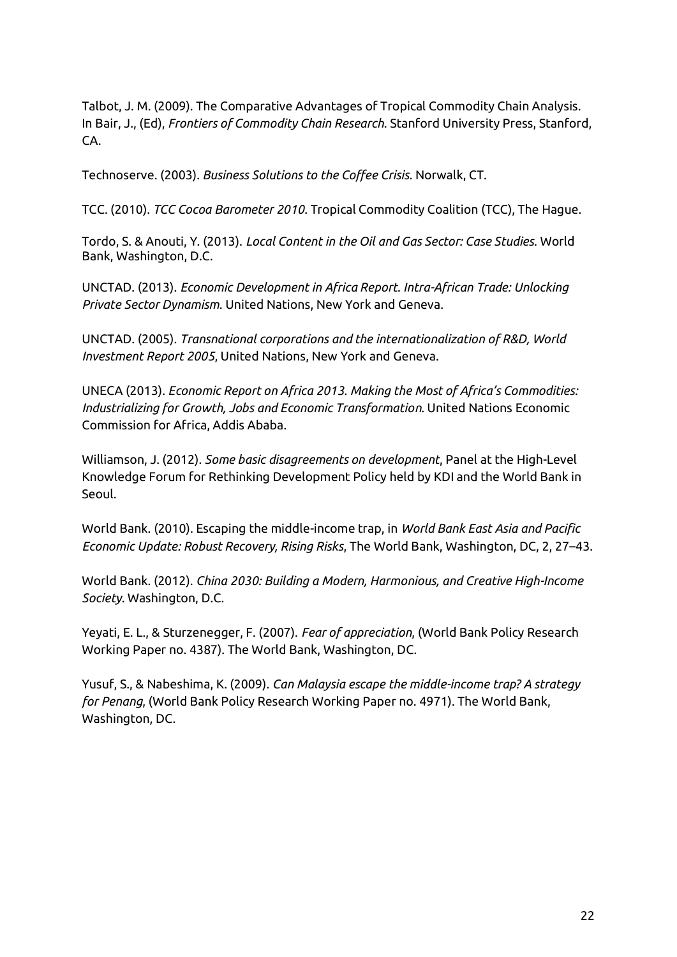Talbot, J. M. (2009). The Comparative Advantages of Tropical Commodity Chain Analysis. In Bair, J., (Ed), *Frontiers of Commodity Chain Research*. Stanford University Press, Stanford, CA.

Technoserve. (2003). *Business Solutions to the Coffee Crisis*. Norwalk, CT.

TCC. (2010). *TCC Cocoa Barometer 2010*. Tropical Commodity Coalition (TCC), The Hague.

Tordo, S. & Anouti, Y. (2013). *Local Content in the Oil and Gas Sector: Case Studies*. World Bank, Washington, D.C.

UNCTAD. (2013). *Economic Development in Africa Report. Intra-African Trade: Unlocking Private Sector Dynamism*. United Nations, New York and Geneva.

UNCTAD. (2005). *Transnational corporations and the internationalization of R&D, World Investment Report 2005*, United Nations, New York and Geneva.

UNECA (2013). *Economic Report on Africa 2013. Making the Most of Africa's Commodities: Industrializing for Growth, Jobs and Economic Transformation*. United Nations Economic Commission for Africa, Addis Ababa.

Williamson, J. (2012). *Some basic disagreements on development*, Panel at the High-Level Knowledge Forum for Rethinking Development Policy held by KDI and the World Bank in Seoul.

World Bank. (2010). Escaping the middle-income trap, in *World Bank East Asia and Pacific Economic Update: Robust Recovery, Rising Risks*, The World Bank, Washington, DC, 2, 27–43.

World Bank. (2012). *China 2030: Building a Modern, Harmonious, and Creative High-Income Society*. Washington, D.C.

Yeyati, E. L., & Sturzenegger, F. (2007). *Fear of appreciation*, (World Bank Policy Research Working Paper no. 4387). The World Bank, Washington, DC.

Yusuf, S., & Nabeshima, K. (2009). *Can Malaysia escape the middle-income trap? A strategy for Penang*, (World Bank Policy Research Working Paper no. 4971). The World Bank, Washington, DC.